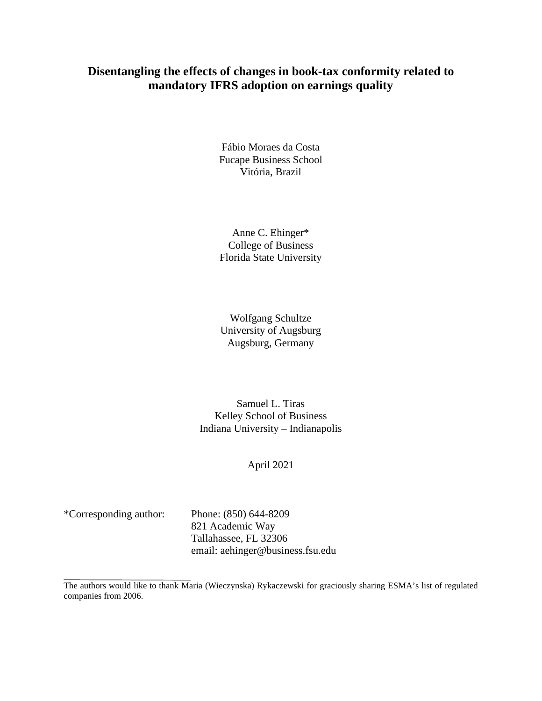# **Disentangling the effects of changes in book-tax conformity related to mandatory IFRS adoption on earnings quality**

Fábio Moraes da Costa Fucape Business School Vitória, Brazil

Anne C. Ehinger\* College of Business Florida State University

Wolfgang Schultze University of Augsburg Augsburg, Germany

Samuel L. Tiras Kelley School of Business Indiana University – Indianapolis

#### April 2021

\*Corresponding author: Phone: (850) 644-8209 821 Academic Way Tallahassee, FL 32306 email: aehinger@business.fsu.edu

The authors would like to thank Maria (Wieczynska) Rykaczewski for graciously sharing ESMA's list of regulated companies from 2006.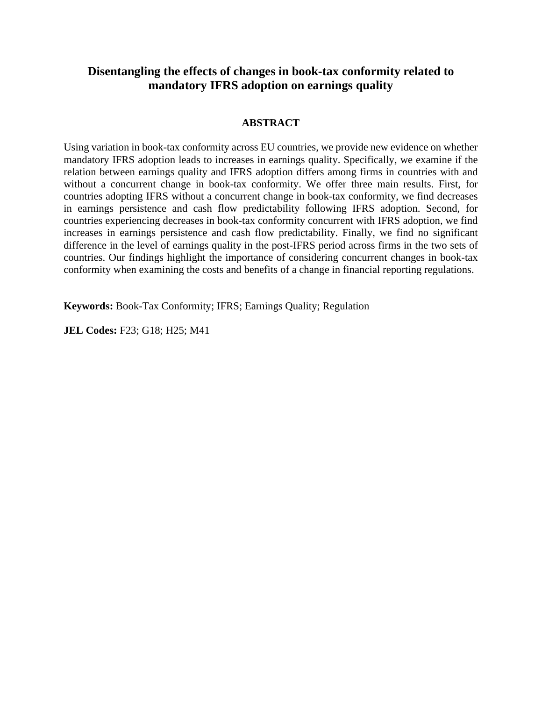# **Disentangling the effects of changes in book-tax conformity related to mandatory IFRS adoption on earnings quality**

## **ABSTRACT**

Using variation in book-tax conformity across EU countries, we provide new evidence on whether mandatory IFRS adoption leads to increases in earnings quality. Specifically, we examine if the relation between earnings quality and IFRS adoption differs among firms in countries with and without a concurrent change in book-tax conformity. We offer three main results. First, for countries adopting IFRS without a concurrent change in book-tax conformity, we find decreases in earnings persistence and cash flow predictability following IFRS adoption. Second, for countries experiencing decreases in book-tax conformity concurrent with IFRS adoption, we find increases in earnings persistence and cash flow predictability. Finally, we find no significant difference in the level of earnings quality in the post-IFRS period across firms in the two sets of countries. Our findings highlight the importance of considering concurrent changes in book-tax conformity when examining the costs and benefits of a change in financial reporting regulations.

**Keywords:** Book-Tax Conformity; IFRS; Earnings Quality; Regulation

**JEL Codes:** F23; G18; H25; M41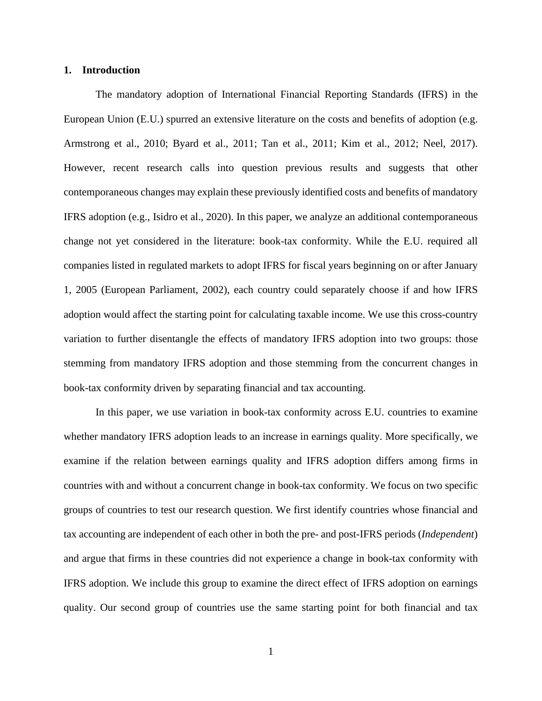#### **1. Introduction**

The mandatory adoption of International Financial Reporting Standards (IFRS) in the European Union (E.U.) spurred an extensive literature on the costs and benefits of adoption (e.g. Armstrong et al., 2010; Byard et al., 2011; Tan et al., 2011; Kim et al., 2012; Neel, 2017). However, recent research calls into question previous results and suggests that other contemporaneous changes may explain these previously identified costs and benefits of mandatory IFRS adoption (e.g., Isidro et al., 2020). In this paper, we analyze an additional contemporaneous change not yet considered in the literature: book-tax conformity. While the E.U. required all companies listed in regulated markets to adopt IFRS for fiscal years beginning on or after January 1, 2005 (European Parliament, 2002), each country could separately choose if and how IFRS adoption would affect the starting point for calculating taxable income. We use this cross-country variation to further disentangle the effects of mandatory IFRS adoption into two groups: those stemming from mandatory IFRS adoption and those stemming from the concurrent changes in book-tax conformity driven by separating financial and tax accounting.

In this paper, we use variation in book-tax conformity across E.U. countries to examine whether mandatory IFRS adoption leads to an increase in earnings quality. More specifically, we examine if the relation between earnings quality and IFRS adoption differs among firms in countries with and without a concurrent change in book-tax conformity. We focus on two specific groups of countries to test our research question. We first identify countries whose financial and tax accounting are independent of each other in both the pre- and post-IFRS periods (*Independent*) and argue that firms in these countries did not experience a change in book-tax conformity with IFRS adoption. We include this group to examine the direct effect of IFRS adoption on earnings quality. Our second group of countries use the same starting point for both financial and tax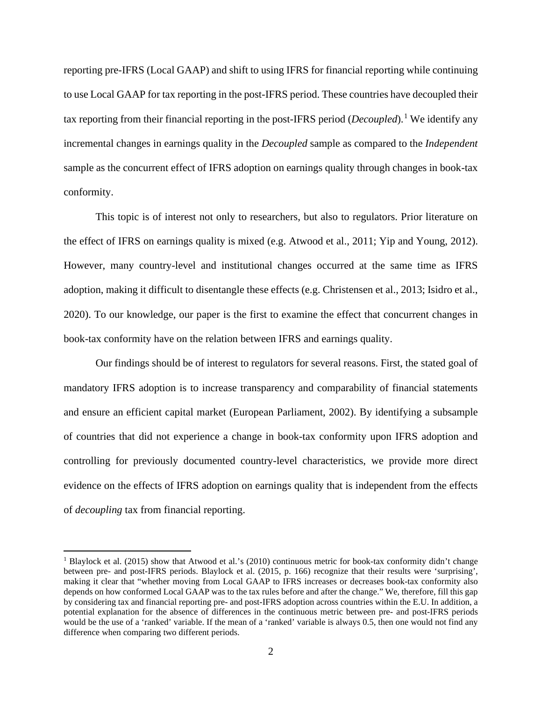reporting pre-IFRS (Local GAAP) and shift to using IFRS for financial reporting while continuing to use Local GAAP for tax reporting in the post-IFRS period. These countries have decoupled their tax reporting from their financial reporting in the post-IFRS period (*Decoupled*).[1](#page-3-0) We identify any incremental changes in earnings quality in the *Decoupled* sample as compared to the *Independent*  sample as the concurrent effect of IFRS adoption on earnings quality through changes in book-tax conformity.

This topic is of interest not only to researchers, but also to regulators. Prior literature on the effect of IFRS on earnings quality is mixed (e.g. Atwood et al., 2011; Yip and Young, 2012). However, many country-level and institutional changes occurred at the same time as IFRS adoption, making it difficult to disentangle these effects (e.g. Christensen et al., 2013; Isidro et al., 2020). To our knowledge, our paper is the first to examine the effect that concurrent changes in book-tax conformity have on the relation between IFRS and earnings quality.

Our findings should be of interest to regulators for several reasons. First, the stated goal of mandatory IFRS adoption is to increase transparency and comparability of financial statements and ensure an efficient capital market (European Parliament, 2002). By identifying a subsample of countries that did not experience a change in book-tax conformity upon IFRS adoption and controlling for previously documented country-level characteristics, we provide more direct evidence on the effects of IFRS adoption on earnings quality that is independent from the effects of *decoupling* tax from financial reporting.

<span id="page-3-0"></span><sup>&</sup>lt;sup>1</sup> Blaylock et al. (2015) show that Atwood et al.'s (2010) continuous metric for book-tax conformity didn't change between pre- and post-IFRS periods. Blaylock et al. (2015, p. 166) recognize that their results were 'surprising', making it clear that "whether moving from Local GAAP to IFRS increases or decreases book-tax conformity also depends on how conformed Local GAAP was to the tax rules before and after the change." We, therefore, fill this gap by considering tax and financial reporting pre- and post-IFRS adoption across countries within the E.U. In addition, a potential explanation for the absence of differences in the continuous metric between pre- and post-IFRS periods would be the use of a 'ranked' variable. If the mean of a 'ranked' variable is always 0.5, then one would not find any difference when comparing two different periods.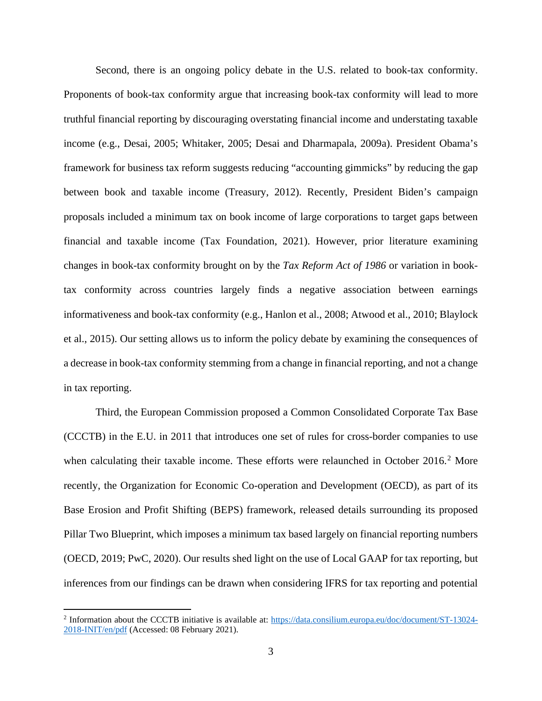Second, there is an ongoing policy debate in the U.S. related to book-tax conformity. Proponents of book-tax conformity argue that increasing book-tax conformity will lead to more truthful financial reporting by discouraging overstating financial income and understating taxable income (e.g., Desai, 2005; Whitaker, 2005; Desai and Dharmapala, 2009a). President Obama's framework for business tax reform suggests reducing "accounting gimmicks" by reducing the gap between book and taxable income (Treasury, 2012). Recently, President Biden's campaign proposals included a minimum tax on book income of large corporations to target gaps between financial and taxable income (Tax Foundation, 2021). However, prior literature examining changes in book-tax conformity brought on by the *Tax Reform Act of 1986* or variation in booktax conformity across countries largely finds a negative association between earnings informativeness and book-tax conformity (e.g., Hanlon et al., 2008; Atwood et al., 2010; Blaylock et al., 2015). Our setting allows us to inform the policy debate by examining the consequences of a decrease in book-tax conformity stemming from a change in financial reporting, and not a change in tax reporting.

Third, the European Commission proposed a Common Consolidated Corporate Tax Base (CCCTB) in the E.U. in 2011 that introduces one set of rules for cross-border companies to use when calculating their taxable income. These efforts were relaunched in October [2](#page-4-0)016.<sup>2</sup> More recently, the Organization for Economic Co-operation and Development (OECD), as part of its Base Erosion and Profit Shifting (BEPS) framework, released details surrounding its proposed Pillar Two Blueprint, which imposes a minimum tax based largely on financial reporting numbers (OECD, 2019; PwC, 2020). Our results shed light on the use of Local GAAP for tax reporting, but inferences from our findings can be drawn when considering IFRS for tax reporting and potential

<span id="page-4-0"></span><sup>2</sup> Information about the CCCTB initiative is available at: [https://data.consilium.europa.eu/doc/document/ST-13024-](https://data.consilium.europa.eu/doc/document/ST-13024-2018-INIT/en/pdf) [2018-INIT/en/pdf](https://data.consilium.europa.eu/doc/document/ST-13024-2018-INIT/en/pdf) (Accessed: 08 February 2021).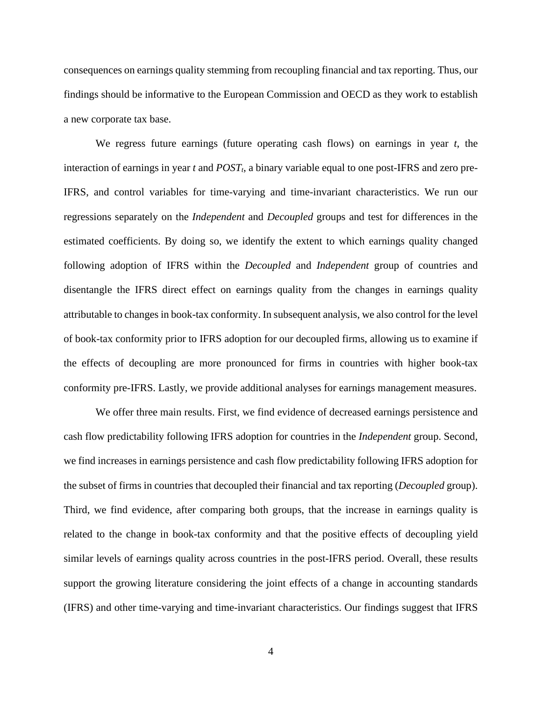consequences on earnings quality stemming from recoupling financial and tax reporting. Thus, our findings should be informative to the European Commission and OECD as they work to establish a new corporate tax base.

We regress future earnings (future operating cash flows) on earnings in year *t*, the interaction of earnings in year  $t$  and  $POST<sub>t</sub>$ , a binary variable equal to one post-IFRS and zero pre-IFRS, and control variables for time-varying and time-invariant characteristics. We run our regressions separately on the *Independent* and *Decoupled* groups and test for differences in the estimated coefficients. By doing so, we identify the extent to which earnings quality changed following adoption of IFRS within the *Decoupled* and *Independent* group of countries and disentangle the IFRS direct effect on earnings quality from the changes in earnings quality attributable to changes in book-tax conformity. In subsequent analysis, we also control for the level of book-tax conformity prior to IFRS adoption for our decoupled firms, allowing us to examine if the effects of decoupling are more pronounced for firms in countries with higher book-tax conformity pre-IFRS. Lastly, we provide additional analyses for earnings management measures.

We offer three main results. First, we find evidence of decreased earnings persistence and cash flow predictability following IFRS adoption for countries in the *Independent* group. Second, we find increases in earnings persistence and cash flow predictability following IFRS adoption for the subset of firms in countries that decoupled their financial and tax reporting (*Decoupled* group). Third, we find evidence, after comparing both groups, that the increase in earnings quality is related to the change in book-tax conformity and that the positive effects of decoupling yield similar levels of earnings quality across countries in the post-IFRS period. Overall, these results support the growing literature considering the joint effects of a change in accounting standards (IFRS) and other time-varying and time-invariant characteristics. Our findings suggest that IFRS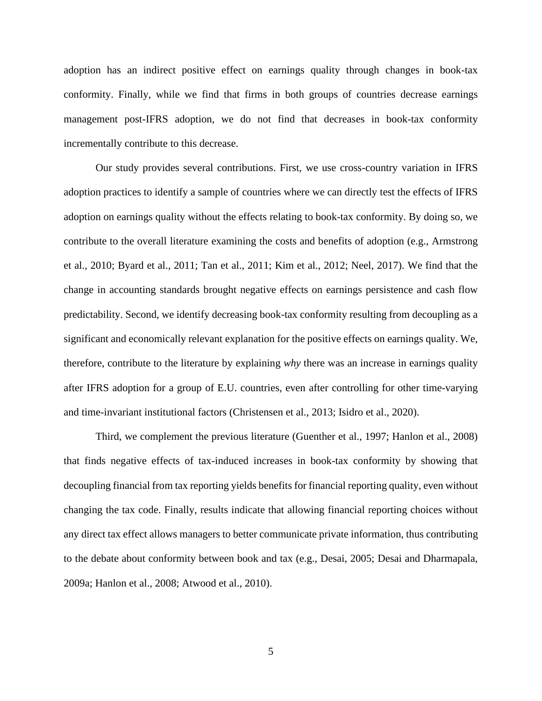adoption has an indirect positive effect on earnings quality through changes in book-tax conformity. Finally, while we find that firms in both groups of countries decrease earnings management post-IFRS adoption, we do not find that decreases in book-tax conformity incrementally contribute to this decrease.

Our study provides several contributions. First, we use cross-country variation in IFRS adoption practices to identify a sample of countries where we can directly test the effects of IFRS adoption on earnings quality without the effects relating to book-tax conformity. By doing so, we contribute to the overall literature examining the costs and benefits of adoption (e.g., Armstrong et al., 2010; Byard et al., 2011; Tan et al., 2011; Kim et al., 2012; Neel, 2017). We find that the change in accounting standards brought negative effects on earnings persistence and cash flow predictability. Second, we identify decreasing book-tax conformity resulting from decoupling as a significant and economically relevant explanation for the positive effects on earnings quality. We, therefore, contribute to the literature by explaining *why* there was an increase in earnings quality after IFRS adoption for a group of E.U. countries, even after controlling for other time-varying and time-invariant institutional factors (Christensen et al., 2013; Isidro et al., 2020).

Third, we complement the previous literature (Guenther et al., 1997; Hanlon et al., 2008) that finds negative effects of tax-induced increases in book-tax conformity by showing that decoupling financial from tax reporting yields benefits for financial reporting quality, even without changing the tax code. Finally, results indicate that allowing financial reporting choices without any direct tax effect allows managers to better communicate private information, thus contributing to the debate about conformity between book and tax (e.g., Desai, 2005; Desai and Dharmapala, 2009a; Hanlon et al., 2008; Atwood et al., 2010).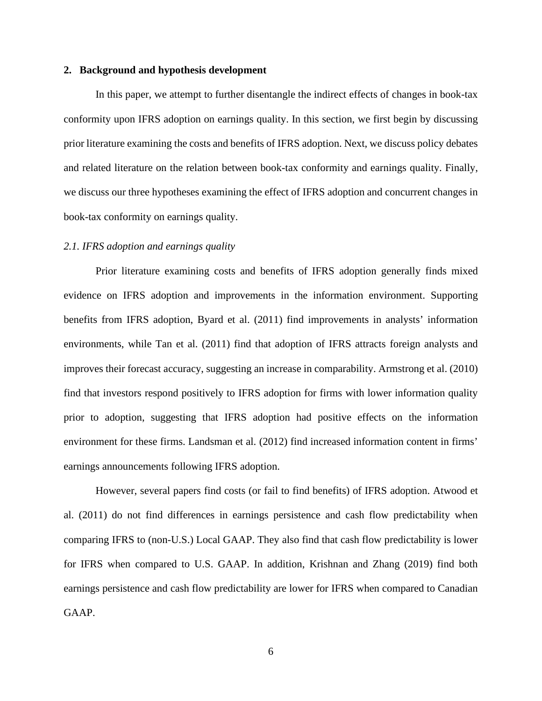#### **2. Background and hypothesis development**

In this paper, we attempt to further disentangle the indirect effects of changes in book-tax conformity upon IFRS adoption on earnings quality. In this section, we first begin by discussing prior literature examining the costs and benefits of IFRS adoption. Next, we discuss policy debates and related literature on the relation between book-tax conformity and earnings quality. Finally, we discuss our three hypotheses examining the effect of IFRS adoption and concurrent changes in book-tax conformity on earnings quality.

#### *2.1. IFRS adoption and earnings quality*

Prior literature examining costs and benefits of IFRS adoption generally finds mixed evidence on IFRS adoption and improvements in the information environment. Supporting benefits from IFRS adoption, Byard et al. (2011) find improvements in analysts' information environments, while Tan et al. (2011) find that adoption of IFRS attracts foreign analysts and improves their forecast accuracy, suggesting an increase in comparability. Armstrong et al. (2010) find that investors respond positively to IFRS adoption for firms with lower information quality prior to adoption, suggesting that IFRS adoption had positive effects on the information environment for these firms. Landsman et al. (2012) find increased information content in firms' earnings announcements following IFRS adoption.

However, several papers find costs (or fail to find benefits) of IFRS adoption. Atwood et al. (2011) do not find differences in earnings persistence and cash flow predictability when comparing IFRS to (non-U.S.) Local GAAP. They also find that cash flow predictability is lower for IFRS when compared to U.S. GAAP. In addition, Krishnan and Zhang (2019) find both earnings persistence and cash flow predictability are lower for IFRS when compared to Canadian GAAP.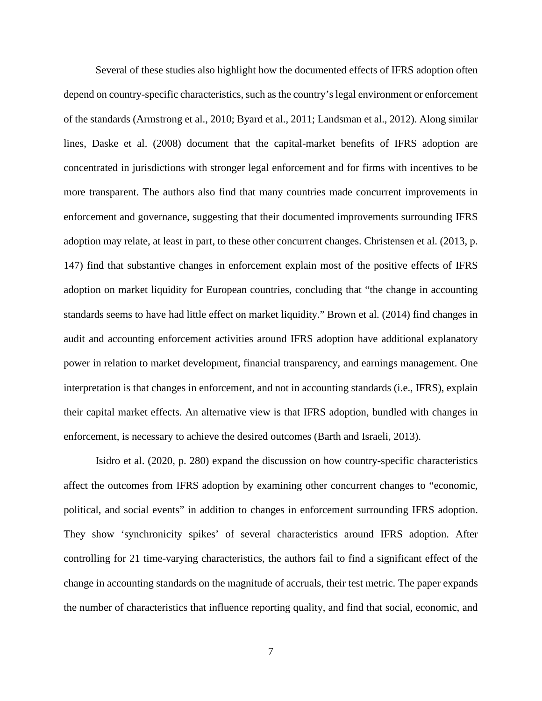Several of these studies also highlight how the documented effects of IFRS adoption often depend on country-specific characteristics, such as the country's legal environment or enforcement of the standards (Armstrong et al., 2010; Byard et al., 2011; Landsman et al., 2012). Along similar lines, Daske et al. (2008) document that the capital-market benefits of IFRS adoption are concentrated in jurisdictions with stronger legal enforcement and for firms with incentives to be more transparent. The authors also find that many countries made concurrent improvements in enforcement and governance, suggesting that their documented improvements surrounding IFRS adoption may relate, at least in part, to these other concurrent changes. Christensen et al. (2013, p. 147) find that substantive changes in enforcement explain most of the positive effects of IFRS adoption on market liquidity for European countries, concluding that "the change in accounting standards seems to have had little effect on market liquidity." Brown et al. (2014) find changes in audit and accounting enforcement activities around IFRS adoption have additional explanatory power in relation to market development, financial transparency, and earnings management. One interpretation is that changes in enforcement, and not in accounting standards (i.e., IFRS), explain their capital market effects. An alternative view is that IFRS adoption, bundled with changes in enforcement, is necessary to achieve the desired outcomes (Barth and Israeli, 2013).

Isidro et al. (2020, p. 280) expand the discussion on how country-specific characteristics affect the outcomes from IFRS adoption by examining other concurrent changes to "economic, political, and social events" in addition to changes in enforcement surrounding IFRS adoption. They show 'synchronicity spikes' of several characteristics around IFRS adoption. After controlling for 21 time-varying characteristics, the authors fail to find a significant effect of the change in accounting standards on the magnitude of accruals, their test metric. The paper expands the number of characteristics that influence reporting quality, and find that social, economic, and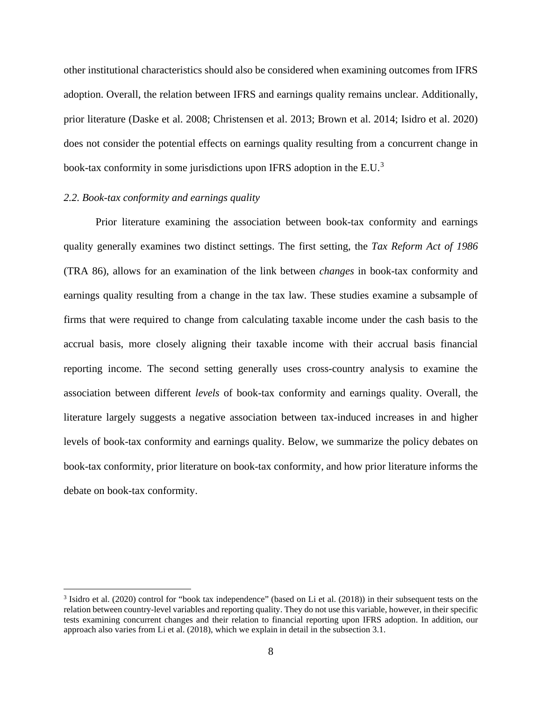other institutional characteristics should also be considered when examining outcomes from IFRS adoption. Overall, the relation between IFRS and earnings quality remains unclear. Additionally, prior literature (Daske et al. 2008; Christensen et al. 2013; Brown et al. 2014; Isidro et al. 2020) does not consider the potential effects on earnings quality resulting from a concurrent change in book-tax conformity in some jurisdictions upon IFRS adoption in the E.U.[3](#page-9-0)

#### *2.2. Book-tax conformity and earnings quality*

Prior literature examining the association between book-tax conformity and earnings quality generally examines two distinct settings. The first setting, the *Tax Reform Act of 1986* (TRA 86), allows for an examination of the link between *changes* in book-tax conformity and earnings quality resulting from a change in the tax law. These studies examine a subsample of firms that were required to change from calculating taxable income under the cash basis to the accrual basis, more closely aligning their taxable income with their accrual basis financial reporting income. The second setting generally uses cross-country analysis to examine the association between different *levels* of book-tax conformity and earnings quality. Overall, the literature largely suggests a negative association between tax-induced increases in and higher levels of book-tax conformity and earnings quality. Below, we summarize the policy debates on book-tax conformity, prior literature on book-tax conformity, and how prior literature informs the debate on book-tax conformity.

<span id="page-9-0"></span><sup>&</sup>lt;sup>3</sup> Isidro et al. (2020) control for "book tax independence" (based on Li et al. (2018)) in their subsequent tests on the relation between country-level variables and reporting quality. They do not use this variable, however, in their specific tests examining concurrent changes and their relation to financial reporting upon IFRS adoption. In addition, our approach also varies from Li et al. (2018), which we explain in detail in the subsection 3.1.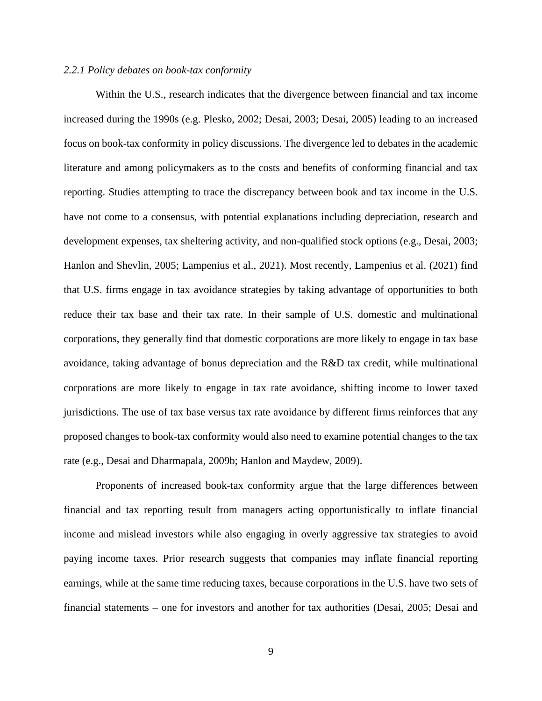#### *2.2.1 Policy debates on book-tax conformity*

Within the U.S., research indicates that the divergence between financial and tax income increased during the 1990s (e.g. Plesko, 2002; Desai, 2003; Desai, 2005) leading to an increased focus on book-tax conformity in policy discussions. The divergence led to debates in the academic literature and among policymakers as to the costs and benefits of conforming financial and tax reporting. Studies attempting to trace the discrepancy between book and tax income in the U.S. have not come to a consensus, with potential explanations including depreciation, research and development expenses, tax sheltering activity, and non-qualified stock options (e.g., Desai, 2003; Hanlon and Shevlin, 2005; Lampenius et al., 2021). Most recently, Lampenius et al. (2021) find that U.S. firms engage in tax avoidance strategies by taking advantage of opportunities to both reduce their tax base and their tax rate. In their sample of U.S. domestic and multinational corporations, they generally find that domestic corporations are more likely to engage in tax base avoidance, taking advantage of bonus depreciation and the R&D tax credit, while multinational corporations are more likely to engage in tax rate avoidance, shifting income to lower taxed jurisdictions. The use of tax base versus tax rate avoidance by different firms reinforces that any proposed changes to book-tax conformity would also need to examine potential changes to the tax rate (e.g., Desai and Dharmapala, 2009b; Hanlon and Maydew, 2009).

Proponents of increased book-tax conformity argue that the large differences between financial and tax reporting result from managers acting opportunistically to inflate financial income and mislead investors while also engaging in overly aggressive tax strategies to avoid paying income taxes. Prior research suggests that companies may inflate financial reporting earnings, while at the same time reducing taxes, because corporations in the U.S. have two sets of financial statements – one for investors and another for tax authorities (Desai, 2005; Desai and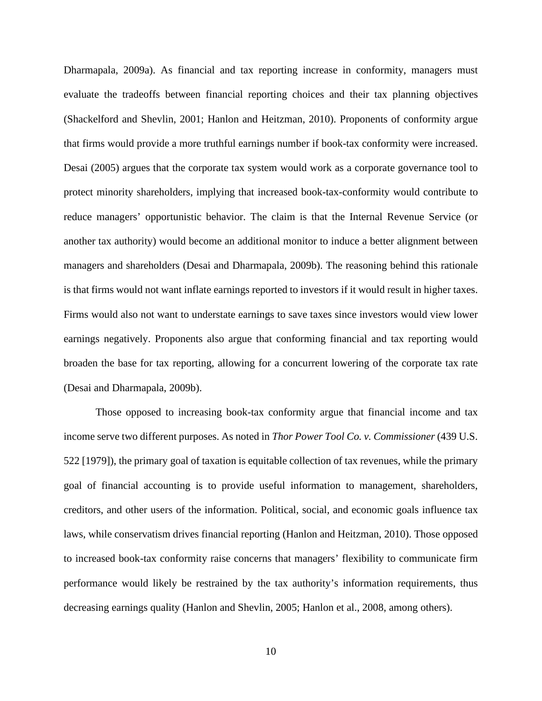Dharmapala, 2009a). As financial and tax reporting increase in conformity, managers must evaluate the tradeoffs between financial reporting choices and their tax planning objectives (Shackelford and Shevlin, 2001; Hanlon and Heitzman, 2010). Proponents of conformity argue that firms would provide a more truthful earnings number if book-tax conformity were increased. Desai (2005) argues that the corporate tax system would work as a corporate governance tool to protect minority shareholders, implying that increased book-tax-conformity would contribute to reduce managers' opportunistic behavior. The claim is that the Internal Revenue Service (or another tax authority) would become an additional monitor to induce a better alignment between managers and shareholders (Desai and Dharmapala, 2009b). The reasoning behind this rationale is that firms would not want inflate earnings reported to investors if it would result in higher taxes. Firms would also not want to understate earnings to save taxes since investors would view lower earnings negatively. Proponents also argue that conforming financial and tax reporting would broaden the base for tax reporting, allowing for a concurrent lowering of the corporate tax rate (Desai and Dharmapala, 2009b).

Those opposed to increasing book-tax conformity argue that financial income and tax income serve two different purposes. As noted in *Thor Power Tool Co. v. Commissioner* (439 U.S. 522 [1979]), the primary goal of taxation is equitable collection of tax revenues, while the primary goal of financial accounting is to provide useful information to management, shareholders, creditors, and other users of the information. Political, social, and economic goals influence tax laws, while conservatism drives financial reporting (Hanlon and Heitzman, 2010). Those opposed to increased book-tax conformity raise concerns that managers' flexibility to communicate firm performance would likely be restrained by the tax authority's information requirements, thus decreasing earnings quality (Hanlon and Shevlin, 2005; Hanlon et al., 2008, among others).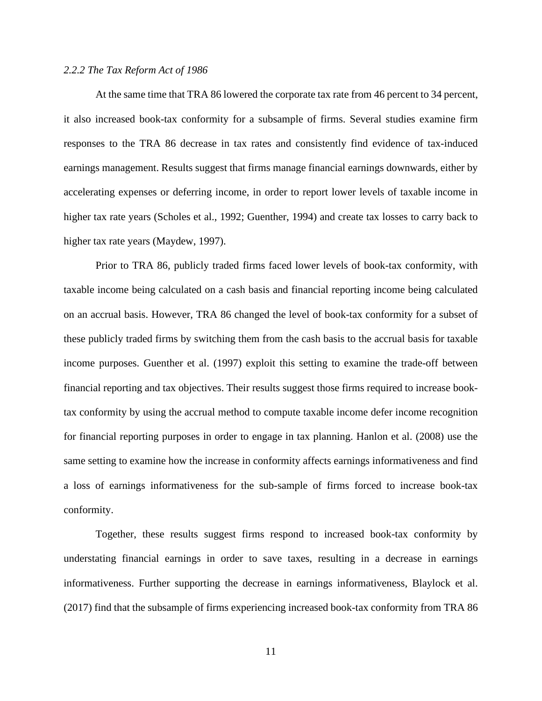#### *2.2.2 The Tax Reform Act of 1986*

At the same time that TRA 86 lowered the corporate tax rate from 46 percent to 34 percent, it also increased book-tax conformity for a subsample of firms. Several studies examine firm responses to the TRA 86 decrease in tax rates and consistently find evidence of tax-induced earnings management. Results suggest that firms manage financial earnings downwards, either by accelerating expenses or deferring income, in order to report lower levels of taxable income in higher tax rate years (Scholes et al., 1992; Guenther, 1994) and create tax losses to carry back to higher tax rate years (Maydew, 1997).

Prior to TRA 86, publicly traded firms faced lower levels of book-tax conformity, with taxable income being calculated on a cash basis and financial reporting income being calculated on an accrual basis. However, TRA 86 changed the level of book-tax conformity for a subset of these publicly traded firms by switching them from the cash basis to the accrual basis for taxable income purposes. Guenther et al. (1997) exploit this setting to examine the trade-off between financial reporting and tax objectives. Their results suggest those firms required to increase booktax conformity by using the accrual method to compute taxable income defer income recognition for financial reporting purposes in order to engage in tax planning. Hanlon et al. (2008) use the same setting to examine how the increase in conformity affects earnings informativeness and find a loss of earnings informativeness for the sub-sample of firms forced to increase book-tax conformity.

Together, these results suggest firms respond to increased book-tax conformity by understating financial earnings in order to save taxes, resulting in a decrease in earnings informativeness. Further supporting the decrease in earnings informativeness, Blaylock et al. (2017) find that the subsample of firms experiencing increased book-tax conformity from TRA 86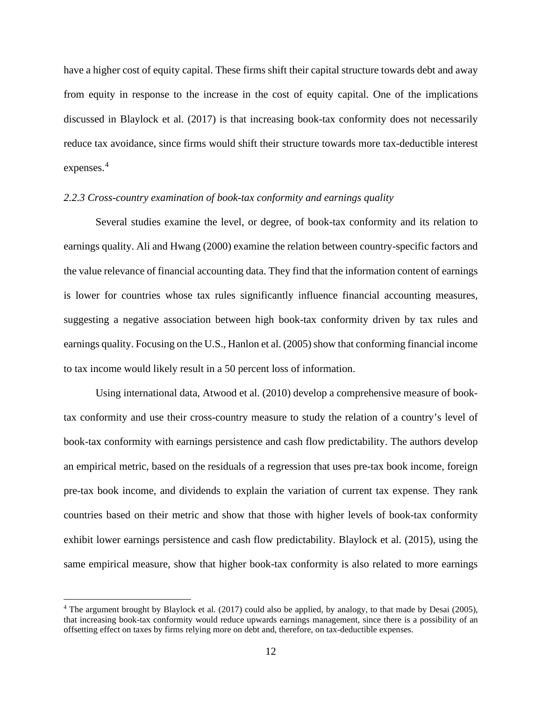have a higher cost of equity capital. These firms shift their capital structure towards debt and away from equity in response to the increase in the cost of equity capital. One of the implications discussed in Blaylock et al. (2017) is that increasing book-tax conformity does not necessarily reduce tax avoidance, since firms would shift their structure towards more tax-deductible interest expenses.<sup>[4](#page-13-0)</sup>

#### *2.2.3 Cross-country examination of book-tax conformity and earnings quality*

Several studies examine the level, or degree, of book-tax conformity and its relation to earnings quality. Ali and Hwang (2000) examine the relation between country-specific factors and the value relevance of financial accounting data. They find that the information content of earnings is lower for countries whose tax rules significantly influence financial accounting measures, suggesting a negative association between high book-tax conformity driven by tax rules and earnings quality. Focusing on the U.S., Hanlon et al. (2005) show that conforming financial income to tax income would likely result in a 50 percent loss of information.

Using international data, Atwood et al. (2010) develop a comprehensive measure of booktax conformity and use their cross-country measure to study the relation of a country's level of book-tax conformity with earnings persistence and cash flow predictability. The authors develop an empirical metric, based on the residuals of a regression that uses pre-tax book income, foreign pre-tax book income, and dividends to explain the variation of current tax expense. They rank countries based on their metric and show that those with higher levels of book-tax conformity exhibit lower earnings persistence and cash flow predictability. Blaylock et al. (2015), using the same empirical measure, show that higher book-tax conformity is also related to more earnings

<span id="page-13-0"></span><sup>&</sup>lt;sup>4</sup> The argument brought by Blaylock et al. (2017) could also be applied, by analogy, to that made by Desai (2005), that increasing book-tax conformity would reduce upwards earnings management, since there is a possibility of an offsetting effect on taxes by firms relying more on debt and, therefore, on tax-deductible expenses.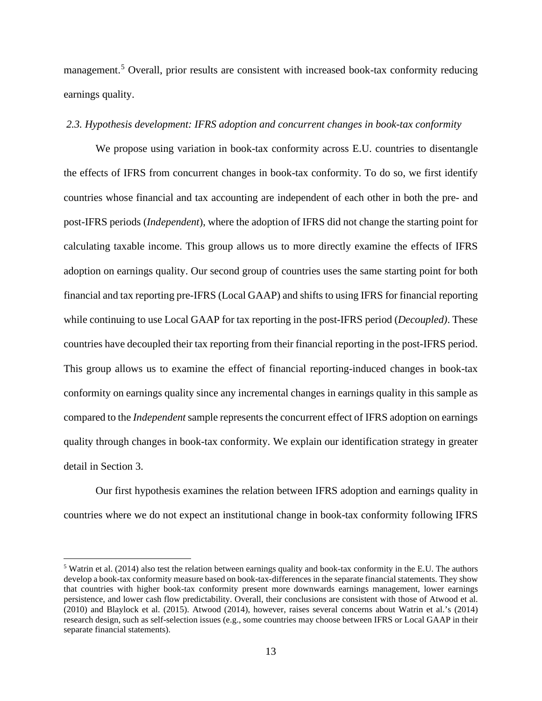management.<sup>[5](#page-14-0)</sup> Overall, prior results are consistent with increased book-tax conformity reducing earnings quality.

#### *2.3. Hypothesis development: IFRS adoption and concurrent changes in book-tax conformity*

We propose using variation in book-tax conformity across E.U. countries to disentangle the effects of IFRS from concurrent changes in book-tax conformity. To do so, we first identify countries whose financial and tax accounting are independent of each other in both the pre- and post-IFRS periods (*Independent*), where the adoption of IFRS did not change the starting point for calculating taxable income. This group allows us to more directly examine the effects of IFRS adoption on earnings quality. Our second group of countries uses the same starting point for both financial and tax reporting pre-IFRS (Local GAAP) and shifts to using IFRS for financial reporting while continuing to use Local GAAP for tax reporting in the post-IFRS period (*Decoupled)*. These countries have decoupled their tax reporting from their financial reporting in the post-IFRS period. This group allows us to examine the effect of financial reporting-induced changes in book-tax conformity on earnings quality since any incremental changes in earnings quality in this sample as compared to the *Independent* sample represents the concurrent effect of IFRS adoption on earnings quality through changes in book-tax conformity. We explain our identification strategy in greater detail in Section 3.

Our first hypothesis examines the relation between IFRS adoption and earnings quality in countries where we do not expect an institutional change in book-tax conformity following IFRS

<span id="page-14-0"></span><sup>5</sup> Watrin et al. (2014) also test the relation between earnings quality and book-tax conformity in the E.U. The authors develop a book-tax conformity measure based on book-tax-differences in the separate financial statements. They show that countries with higher book-tax conformity present more downwards earnings management, lower earnings persistence, and lower cash flow predictability. Overall, their conclusions are consistent with those of Atwood et al. (2010) and Blaylock et al. (2015). Atwood (2014), however, raises several concerns about Watrin et al.'s (2014) research design, such as self-selection issues (e.g., some countries may choose between IFRS or Local GAAP in their separate financial statements).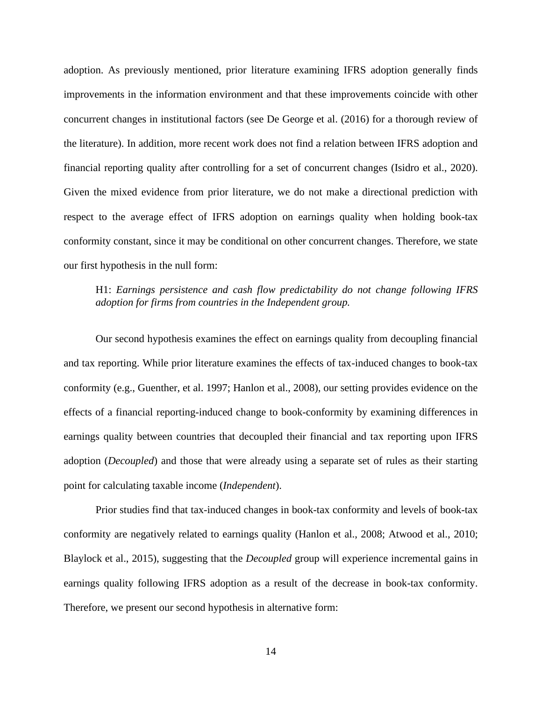adoption. As previously mentioned, prior literature examining IFRS adoption generally finds improvements in the information environment and that these improvements coincide with other concurrent changes in institutional factors (see De George et al. (2016) for a thorough review of the literature). In addition, more recent work does not find a relation between IFRS adoption and financial reporting quality after controlling for a set of concurrent changes (Isidro et al., 2020). Given the mixed evidence from prior literature, we do not make a directional prediction with respect to the average effect of IFRS adoption on earnings quality when holding book-tax conformity constant, since it may be conditional on other concurrent changes. Therefore, we state our first hypothesis in the null form:

# H1: *Earnings persistence and cash flow predictability do not change following IFRS adoption for firms from countries in the Independent group.*

Our second hypothesis examines the effect on earnings quality from decoupling financial and tax reporting. While prior literature examines the effects of tax-induced changes to book-tax conformity (e.g., Guenther, et al. 1997; Hanlon et al., 2008), our setting provides evidence on the effects of a financial reporting-induced change to book-conformity by examining differences in earnings quality between countries that decoupled their financial and tax reporting upon IFRS adoption (*Decoupled*) and those that were already using a separate set of rules as their starting point for calculating taxable income (*Independent*).

Prior studies find that tax-induced changes in book-tax conformity and levels of book-tax conformity are negatively related to earnings quality (Hanlon et al., 2008; Atwood et al., 2010; Blaylock et al., 2015), suggesting that the *Decoupled* group will experience incremental gains in earnings quality following IFRS adoption as a result of the decrease in book-tax conformity. Therefore, we present our second hypothesis in alternative form: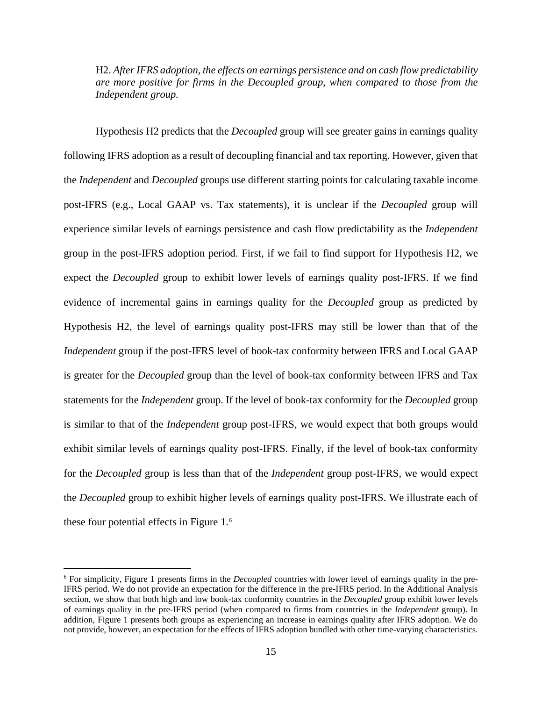H2. *After IFRS adoption, the effects on earnings persistence and on cash flow predictability are more positive for firms in the Decoupled group, when compared to those from the Independent group.*

Hypothesis H2 predicts that the *Decoupled* group will see greater gains in earnings quality following IFRS adoption as a result of decoupling financial and tax reporting. However, given that the *Independent* and *Decoupled* groups use different starting points for calculating taxable income post-IFRS (e.g., Local GAAP vs. Tax statements), it is unclear if the *Decoupled* group will experience similar levels of earnings persistence and cash flow predictability as the *Independent*  group in the post-IFRS adoption period. First, if we fail to find support for Hypothesis H2, we expect the *Decoupled* group to exhibit lower levels of earnings quality post-IFRS. If we find evidence of incremental gains in earnings quality for the *Decoupled* group as predicted by Hypothesis H2, the level of earnings quality post-IFRS may still be lower than that of the *Independent* group if the post-IFRS level of book-tax conformity between IFRS and Local GAAP is greater for the *Decoupled* group than the level of book-tax conformity between IFRS and Tax statements for the *Independent* group. If the level of book-tax conformity for the *Decoupled* group is similar to that of the *Independent* group post-IFRS, we would expect that both groups would exhibit similar levels of earnings quality post-IFRS. Finally, if the level of book-tax conformity for the *Decoupled* group is less than that of the *Independent* group post-IFRS, we would expect the *Decoupled* group to exhibit higher levels of earnings quality post-IFRS. We illustrate each of these four potential effects in Figure 1.[6](#page-16-0)

<span id="page-16-0"></span><sup>6</sup> For simplicity, Figure 1 presents firms in the *Decoupled* countries with lower level of earnings quality in the pre-IFRS period. We do not provide an expectation for the difference in the pre-IFRS period. In the Additional Analysis section, we show that both high and low book-tax conformity countries in the *Decoupled* group exhibit lower levels of earnings quality in the pre-IFRS period (when compared to firms from countries in the *Independent* group). In addition, Figure 1 presents both groups as experiencing an increase in earnings quality after IFRS adoption. We do not provide, however, an expectation for the effects of IFRS adoption bundled with other time-varying characteristics.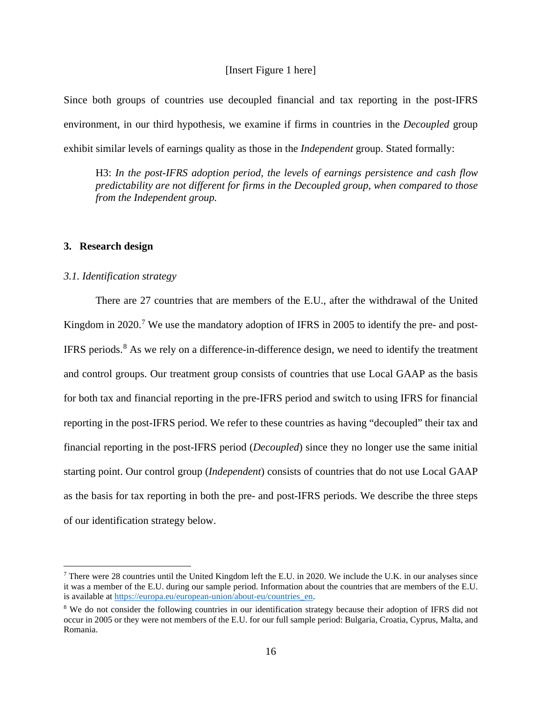#### [Insert Figure 1 here]

Since both groups of countries use decoupled financial and tax reporting in the post-IFRS environment, in our third hypothesis, we examine if firms in countries in the *Decoupled* group exhibit similar levels of earnings quality as those in the *Independent* group. Stated formally:

H3: *In the post-IFRS adoption period, the levels of earnings persistence and cash flow predictability are not different for firms in the Decoupled group, when compared to those from the Independent group.*

#### **3. Research design**

#### *3.1. Identification strategy*

There are 27 countries that are members of the E.U., after the withdrawal of the United Kingdom in 2020.<sup>[7](#page-17-0)</sup> We use the mandatory adoption of IFRS in 2005 to identify the pre- and post-IFRS periods.<sup>[8](#page-17-1)</sup> As we rely on a difference-in-difference design, we need to identify the treatment and control groups. Our treatment group consists of countries that use Local GAAP as the basis for both tax and financial reporting in the pre-IFRS period and switch to using IFRS for financial reporting in the post-IFRS period. We refer to these countries as having "decoupled" their tax and financial reporting in the post-IFRS period (*Decoupled*) since they no longer use the same initial starting point. Our control group (*Independent*) consists of countries that do not use Local GAAP as the basis for tax reporting in both the pre- and post-IFRS periods. We describe the three steps of our identification strategy below.

<span id="page-17-0"></span> $^7$  There were 28 countries until the United Kingdom left the E.U. in 2020. We include the U.K. in our analyses since it was a member of the E.U. during our sample period. Information about the countries that are members of the E.U. is available at [https://europa.eu/european-union/about-eu/countries\\_en.](https://europa.eu/european-union/about-eu/countries_en)

<span id="page-17-1"></span><sup>&</sup>lt;sup>8</sup> We do not consider the following countries in our identification strategy because their adoption of IFRS did not occur in 2005 or they were not members of the E.U. for our full sample period: Bulgaria, Croatia, Cyprus, Malta, and Romania.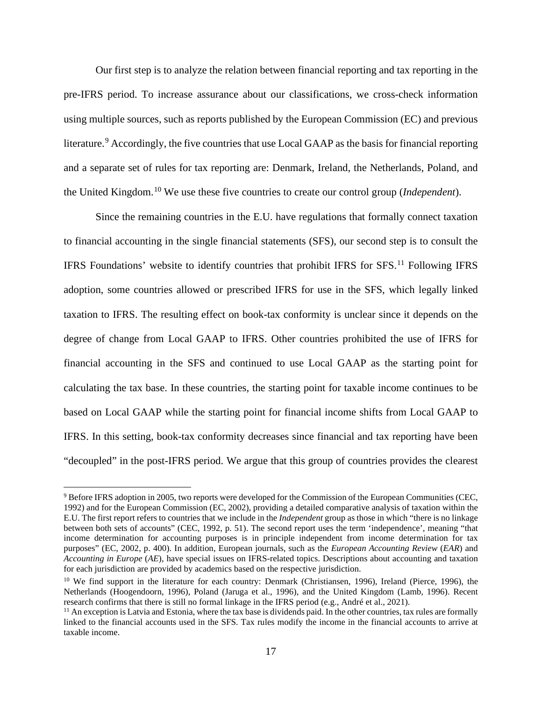Our first step is to analyze the relation between financial reporting and tax reporting in the pre-IFRS period. To increase assurance about our classifications, we cross-check information using multiple sources, such as reports published by the European Commission (EC) and previous literature.<sup>[9](#page-18-0)</sup> Accordingly, the five countries that use Local GAAP as the basis for financial reporting and a separate set of rules for tax reporting are: Denmark, Ireland, the Netherlands, Poland, and the United Kingdom.[10](#page-18-1) We use these five countries to create our control group (*Independent*).

Since the remaining countries in the E.U. have regulations that formally connect taxation to financial accounting in the single financial statements (SFS), our second step is to consult the IFRS Foundations' website to identify countries that prohibit IFRS for  $SFS$ .<sup>[11](#page-18-2)</sup> Following IFRS adoption, some countries allowed or prescribed IFRS for use in the SFS, which legally linked taxation to IFRS. The resulting effect on book-tax conformity is unclear since it depends on the degree of change from Local GAAP to IFRS. Other countries prohibited the use of IFRS for financial accounting in the SFS and continued to use Local GAAP as the starting point for calculating the tax base. In these countries, the starting point for taxable income continues to be based on Local GAAP while the starting point for financial income shifts from Local GAAP to IFRS. In this setting, book-tax conformity decreases since financial and tax reporting have been "decoupled" in the post-IFRS period. We argue that this group of countries provides the clearest

<span id="page-18-0"></span><sup>9</sup> Before IFRS adoption in 2005, two reports were developed for the Commission of the European Communities (CEC, 1992) and for the European Commission (EC, 2002), providing a detailed comparative analysis of taxation within the E.U. The first report refers to countries that we include in the *Independent* group as those in which "there is no linkage between both sets of accounts" (CEC, 1992, p. 51). The second report uses the term 'independence', meaning "that income determination for accounting purposes is in principle independent from income determination for tax purposes" (EC, 2002, p. 400). In addition, European journals, such as the *European Accounting Review* (*EAR*) and *Accounting in Europe* (*AE*), have special issues on IFRS-related topics. Descriptions about accounting and taxation for each jurisdiction are provided by academics based on the respective jurisdiction.

<span id="page-18-1"></span><sup>&</sup>lt;sup>10</sup> We find support in the literature for each country: Denmark (Christiansen, 1996), Ireland (Pierce, 1996), the Netherlands (Hoogendoorn, 1996), Poland (Jaruga et al., 1996), and the United Kingdom (Lamb, 1996). Recent research confirms that there is still no formal linkage in the IFRS period (e.g., André et al., 2021).

<span id="page-18-2"></span> $<sup>11</sup>$  An exception is Latvia and Estonia, where the tax base is dividends paid. In the other countries, tax rules are formally</sup> linked to the financial accounts used in the SFS. Tax rules modify the income in the financial accounts to arrive at taxable income.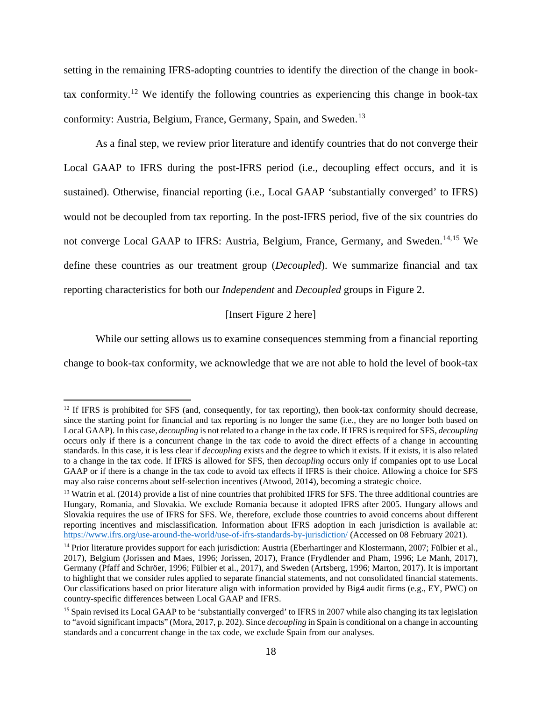setting in the remaining IFRS-adopting countries to identify the direction of the change in book-tax conformity.<sup>[12](#page-19-0)</sup> We identify the following countries as experiencing this change in book-tax conformity: Austria, Belgium, France, Germany, Spain, and Sweden.<sup>[13](#page-19-1)</sup>

As a final step, we review prior literature and identify countries that do not converge their Local GAAP to IFRS during the post-IFRS period (i.e., decoupling effect occurs, and it is sustained). Otherwise, financial reporting (i.e., Local GAAP 'substantially converged' to IFRS) would not be decoupled from tax reporting. In the post-IFRS period, five of the six countries do not converge Local GAAP to IFRS: Austria, Belgium, France, Germany, and Sweden.<sup>[14,](#page-19-2)[15](#page-19-3)</sup> We define these countries as our treatment group (*Decoupled*). We summarize financial and tax reporting characteristics for both our *Independent* and *Decoupled* groups in Figure 2.

#### [Insert Figure 2 here]

While our setting allows us to examine consequences stemming from a financial reporting change to book-tax conformity, we acknowledge that we are not able to hold the level of book-tax

<span id="page-19-0"></span><sup>&</sup>lt;sup>12</sup> If IFRS is prohibited for SFS (and, consequently, for tax reporting), then book-tax conformity should decrease, since the starting point for financial and tax reporting is no longer the same (i.e., they are no longer both based on Local GAAP). In this case, *decoupling* is not related to a change in the tax code. If IFRS is required for SFS, *decoupling*  occurs only if there is a concurrent change in the tax code to avoid the direct effects of a change in accounting standards. In this case, it is less clear if *decoupling* exists and the degree to which it exists. If it exists, it is also related to a change in the tax code. If IFRS is allowed for SFS, then *decoupling* occurs only if companies opt to use Local GAAP or if there is a change in the tax code to avoid tax effects if IFRS is their choice. Allowing a choice for SFS may also raise concerns about self-selection incentives (Atwood, 2014), becoming a strategic choice.

<span id="page-19-1"></span><sup>&</sup>lt;sup>13</sup> Watrin et al. (2014) provide a list of nine countries that prohibited IFRS for SFS. The three additional countries are Hungary, Romania, and Slovakia. We exclude Romania because it adopted IFRS after 2005. Hungary allows and Slovakia requires the use of IFRS for SFS. We, therefore, exclude those countries to avoid concerns about different reporting incentives and misclassification. Information about IFRS adoption in each jurisdiction is available at: <https://www.ifrs.org/use-around-the-world/use-of-ifrs-standards-by-jurisdiction/> (Accessed on 08 February 2021).

<span id="page-19-2"></span><sup>&</sup>lt;sup>14</sup> Prior literature provides support for each jurisdiction: Austria (Eberhartinger and Klostermann, 2007; Fülbier et al., 2017), Belgium (Jorissen and Maes, 1996; Jorissen, 2017), France (Frydlender and Pham, 1996; Le Manh, 2017), Germany (Pfaff and Schröer, 1996; Fülbier et al., 2017), and Sweden (Artsberg, 1996; Marton, 2017). It is important to highlight that we consider rules applied to separate financial statements, and not consolidated financial statements. Our classifications based on prior literature align with information provided by Big4 audit firms (e.g., EY, PWC) on country-specific differences between Local GAAP and IFRS.

<span id="page-19-3"></span><sup>&</sup>lt;sup>15</sup> Spain revised its Local GAAP to be 'substantially converged' to IFRS in 2007 while also changing its tax legislation to "avoid significant impacts" (Mora, 2017, p. 202). Since *decoupling* in Spain is conditional on a change in accounting standards and a concurrent change in the tax code, we exclude Spain from our analyses.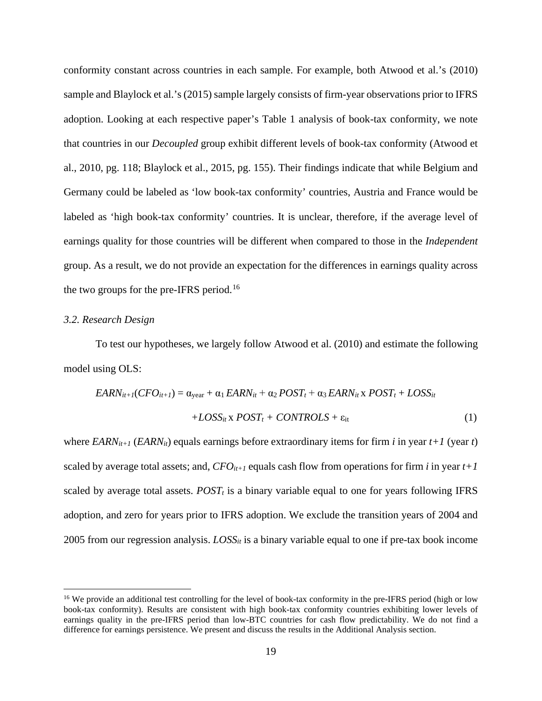conformity constant across countries in each sample. For example, both Atwood et al.'s (2010) sample and Blaylock et al.'s (2015) sample largely consists of firm-year observations prior to IFRS adoption. Looking at each respective paper's Table 1 analysis of book-tax conformity, we note that countries in our *Decoupled* group exhibit different levels of book-tax conformity (Atwood et al., 2010, pg. 118; Blaylock et al., 2015, pg. 155). Their findings indicate that while Belgium and Germany could be labeled as 'low book-tax conformity' countries, Austria and France would be labeled as 'high book-tax conformity' countries. It is unclear, therefore, if the average level of earnings quality for those countries will be different when compared to those in the *Independent*  group. As a result, we do not provide an expectation for the differences in earnings quality across the two groups for the pre-IFRS period.<sup>[16](#page-20-0)</sup>

#### *3.2. Research Design*

To test our hypotheses, we largely follow Atwood et al. (2010) and estimate the following model using OLS:

$$
EARN_{it+1}(CFO_{it+1}) = \alpha_{year} + \alpha_1 EARN_{it} + \alpha_2 POST_t + \alpha_3 EARN_{it} \times POST_t + LOSS_{it}
$$

$$
+ LOSS_{it} \times POST_t + CONTROLS + \varepsilon_{it}
$$
(1)

where *EARN*<sub>it+1</sub> (*EARN*<sub>it</sub>) equals earnings before extraordinary items for firm *i* in year  $t+1$  (year *t*) scaled by average total assets; and,  $CFO_{it+1}$  equals cash flow from operations for firm *i* in year  $t+1$ scaled by average total assets.  $POST<sub>t</sub>$  is a binary variable equal to one for years following IFRS adoption, and zero for years prior to IFRS adoption. We exclude the transition years of 2004 and 2005 from our regression analysis.  $Loss_{it}$  is a binary variable equal to one if pre-tax book income

<span id="page-20-0"></span><sup>&</sup>lt;sup>16</sup> We provide an additional test controlling for the level of book-tax conformity in the pre-IFRS period (high or low book-tax conformity). Results are consistent with high book-tax conformity countries exhibiting lower levels of earnings quality in the pre-IFRS period than low-BTC countries for cash flow predictability. We do not find a difference for earnings persistence. We present and discuss the results in the Additional Analysis section.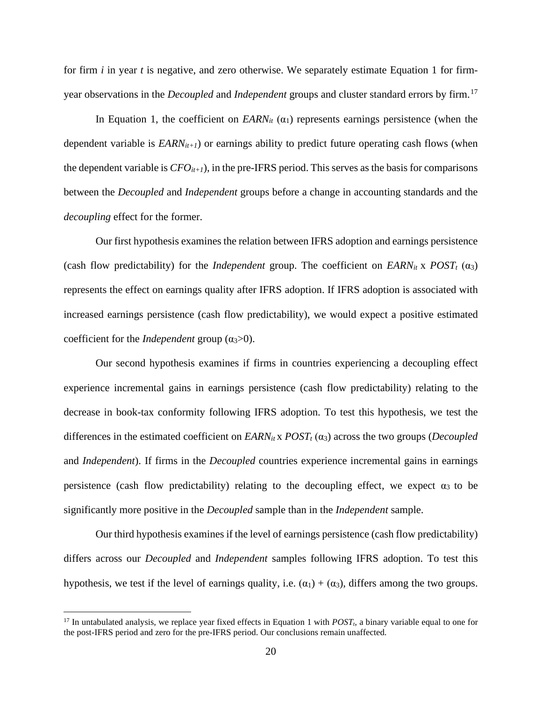for firm *i* in year *t* is negative, and zero otherwise. We separately estimate Equation 1 for firmyear observations in the *Decoupled* and *Independent* groups and cluster standard errors by firm. [17](#page-21-0)

In Equation 1, the coefficient on  $EARN_{it}(\alpha_1)$  represents earnings persistence (when the dependent variable is  $EARN_{it+1}$ ) or earnings ability to predict future operating cash flows (when the dependent variable is  $CFO_{it+1}$ ), in the pre-IFRS period. This serves as the basis for comparisons between the *Decoupled* and *Independent* groups before a change in accounting standards and the *decoupling* effect for the former.

Our first hypothesis examines the relation between IFRS adoption and earnings persistence (cash flow predictability) for the *Independent* group. The coefficient on  $\text{EARN}_{it} \times \text{POST}_{t} (\alpha_3)$ represents the effect on earnings quality after IFRS adoption. If IFRS adoption is associated with increased earnings persistence (cash flow predictability), we would expect a positive estimated coefficient for the *Independent* group (α3>0).

Our second hypothesis examines if firms in countries experiencing a decoupling effect experience incremental gains in earnings persistence (cash flow predictability) relating to the decrease in book-tax conformity following IFRS adoption. To test this hypothesis, we test the differences in the estimated coefficient on  $\text{LARN}_{it} \times \text{POST}_{t} (\alpha_3)$  across the two groups (*Decoupled* and *Independent*). If firms in the *Decoupled* countries experience incremental gains in earnings persistence (cash flow predictability) relating to the decoupling effect, we expect  $\alpha_3$  to be significantly more positive in the *Decoupled* sample than in the *Independent* sample.

Our third hypothesis examines if the level of earnings persistence (cash flow predictability) differs across our *Decoupled* and *Independent* samples following IFRS adoption. To test this hypothesis, we test if the level of earnings quality, i.e.  $(\alpha_1) + (\alpha_3)$ , differs among the two groups.

<span id="page-21-0"></span> $17$  In untabulated analysis, we replace year fixed effects in Equation 1 with  $POST<sub>t</sub>$ , a binary variable equal to one for the post-IFRS period and zero for the pre-IFRS period. Our conclusions remain unaffected.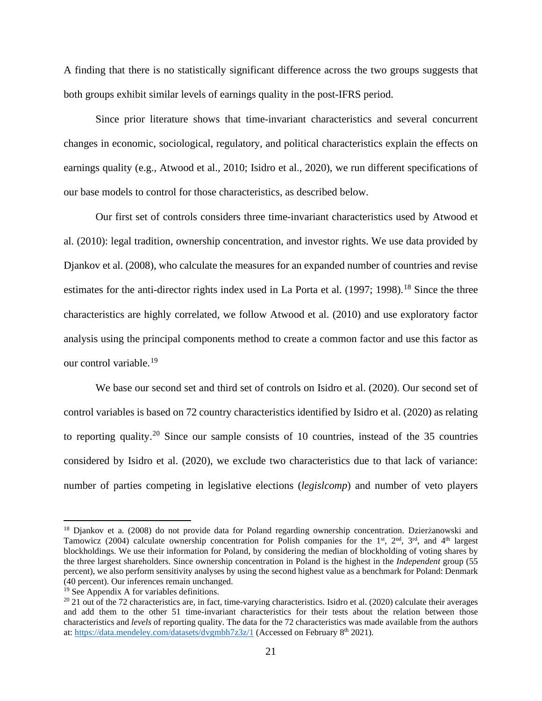A finding that there is no statistically significant difference across the two groups suggests that both groups exhibit similar levels of earnings quality in the post-IFRS period.

Since prior literature shows that time-invariant characteristics and several concurrent changes in economic, sociological, regulatory, and political characteristics explain the effects on earnings quality (e.g., Atwood et al., 2010; Isidro et al., 2020), we run different specifications of our base models to control for those characteristics, as described below.

Our first set of controls considers three time-invariant characteristics used by Atwood et al. (2010): legal tradition, ownership concentration, and investor rights. We use data provided by Djankov et al. (2008), who calculate the measures for an expanded number of countries and revise estimates for the anti-director rights index used in La Porta et al. (1997; 1998).<sup>[18](#page-22-0)</sup> Since the three characteristics are highly correlated, we follow Atwood et al. (2010) and use exploratory factor analysis using the principal components method to create a common factor and use this factor as our control variable. [19](#page-22-1)

We base our second set and third set of controls on Isidro et al. (2020). Our second set of control variables is based on 72 country characteristics identified by Isidro et al. (2020) as relating to reporting quality.<sup>[20](#page-22-2)</sup> Since our sample consists of 10 countries, instead of the 35 countries considered by Isidro et al. (2020), we exclude two characteristics due to that lack of variance: number of parties competing in legislative elections (*legislcomp*) and number of veto players

<span id="page-22-0"></span><sup>&</sup>lt;sup>18</sup> Djankov et a. (2008) do not provide data for Poland regarding ownership concentration. Dzierżanowski and Tamowicz (2004) calculate ownership concentration for Polish companies for the 1<sup>st</sup>, 2<sup>nd</sup>, 3<sup>rd</sup>, and 4<sup>th</sup> largest blockholdings. We use their information for Poland, by considering the median of blockholding of voting shares by the three largest shareholders. Since ownership concentration in Poland is the highest in the *Independent* group (55 percent), we also perform sensitivity analyses by using the second highest value as a benchmark for Poland: Denmark (40 percent). Our inferences remain unchanged.

<span id="page-22-1"></span><sup>&</sup>lt;sup>19</sup> See Appendix A for variables definitions.

<span id="page-22-2"></span> $20$  21 out of the 72 characteristics are, in fact, time-varying characteristics. Isidro et al. (2020) calculate their averages and add them to the other 51 time-invariant characteristics for their tests about the relation between those characteristics and *levels* of reporting quality. The data for the 72 characteristics was made available from the authors at:<https://data.mendeley.com/datasets/dvgmbh7z3z/1> (Accessed on February 8<sup>th</sup> 2021).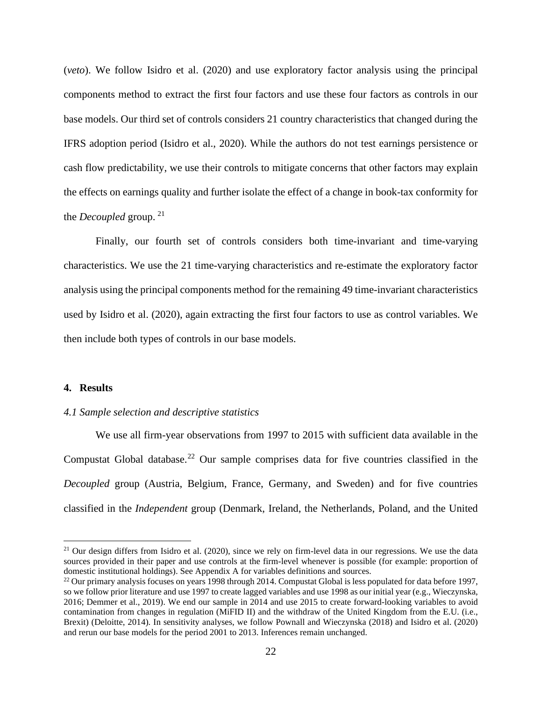(*veto*). We follow Isidro et al. (2020) and use exploratory factor analysis using the principal components method to extract the first four factors and use these four factors as controls in our base models. Our third set of controls considers 21 country characteristics that changed during the IFRS adoption period (Isidro et al., 2020). While the authors do not test earnings persistence or cash flow predictability, we use their controls to mitigate concerns that other factors may explain the effects on earnings quality and further isolate the effect of a change in book-tax conformity for the *Decoupled* group. [21](#page-23-0)

Finally, our fourth set of controls considers both time-invariant and time-varying characteristics. We use the 21 time-varying characteristics and re-estimate the exploratory factor analysis using the principal components method for the remaining 49 time-invariant characteristics used by Isidro et al. (2020), again extracting the first four factors to use as control variables. We then include both types of controls in our base models.

### **4. Results**

#### *4.1 Sample selection and descriptive statistics*

We use all firm-year observations from 1997 to 2015 with sufficient data available in the Compustat Global database.<sup>[22](#page-23-1)</sup> Our sample comprises data for five countries classified in the *Decoupled* group (Austria, Belgium, France, Germany, and Sweden) and for five countries classified in the *Independent* group (Denmark, Ireland, the Netherlands, Poland, and the United

<span id="page-23-0"></span> $21$  Our design differs from Isidro et al. (2020), since we rely on firm-level data in our regressions. We use the data sources provided in their paper and use controls at the firm-level whenever is possible (for example: proportion of domestic institutional holdings). See Appendix A for variables definitions and sources.

<span id="page-23-1"></span> $^{22}$  Our primary analysis focuses on years 1998 through 2014. Compustat Global is less populated for data before 1997, so we follow prior literature and use 1997 to create lagged variables and use 1998 as our initial year (e.g., Wieczynska, 2016; Demmer et al., 2019). We end our sample in 2014 and use 2015 to create forward-looking variables to avoid contamination from changes in regulation (MiFID II) and the withdraw of the United Kingdom from the E.U. (i.e., Brexit) (Deloitte, 2014). In sensitivity analyses, we follow Pownall and Wieczynska (2018) and Isidro et al. (2020) and rerun our base models for the period 2001 to 2013. Inferences remain unchanged.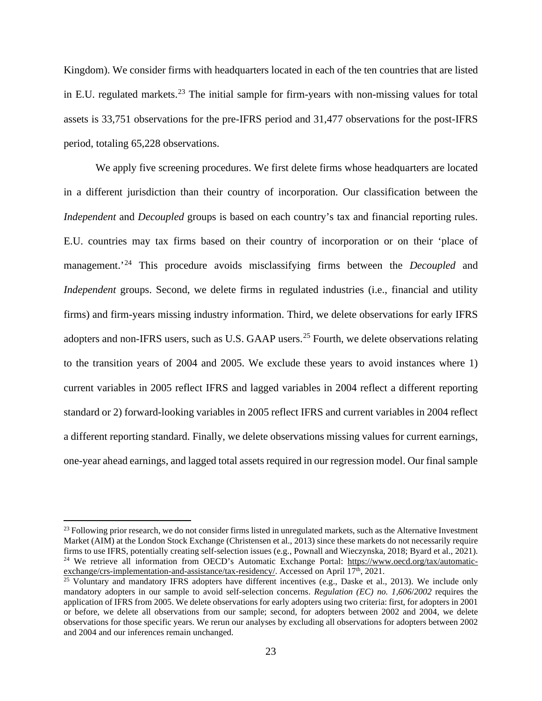Kingdom). We consider firms with headquarters located in each of the ten countries that are listed in E.U. regulated markets.<sup>[23](#page-24-0)</sup> The initial sample for firm-years with non-missing values for total assets is 33,751 observations for the pre-IFRS period and 31,477 observations for the post-IFRS period, totaling 65,228 observations.

We apply five screening procedures. We first delete firms whose headquarters are located in a different jurisdiction than their country of incorporation. Our classification between the *Independent* and *Decoupled* groups is based on each country's tax and financial reporting rules. E.U. countries may tax firms based on their country of incorporation or on their 'place of management.'[24](#page-24-1) This procedure avoids misclassifying firms between the *Decoupled* and *Independent* groups. Second, we delete firms in regulated industries (i.e., financial and utility firms) and firm-years missing industry information. Third, we delete observations for early IFRS adopters and non-IFRS users, such as U.S. GAAP users.<sup>[25](#page-24-2)</sup> Fourth, we delete observations relating to the transition years of 2004 and 2005. We exclude these years to avoid instances where 1) current variables in 2005 reflect IFRS and lagged variables in 2004 reflect a different reporting standard or 2) forward-looking variables in 2005 reflect IFRS and current variables in 2004 reflect a different reporting standard. Finally, we delete observations missing values for current earnings, one-year ahead earnings, and lagged total assets required in our regression model. Our final sample

<span id="page-24-0"></span> $^{23}$  Following prior research, we do not consider firms listed in unregulated markets, such as the Alternative Investment Market (AIM) at the London Stock Exchange (Christensen et al., 2013) since these markets do not necessarily require firms to use IFRS, potentially creating self-selection issues (e.g., Pownall and Wieczynska, 2018; Byard e <sup>24</sup> We retrieve all information from OECD's Automatic Exchange Portal: https://www.oecd.org/tax/automatic-exchange/crs-implementation-and-assistance/tax-residency/. Accessed on April 17<sup>th</sup>, 2021.

<span id="page-24-2"></span><span id="page-24-1"></span><sup>&</sup>lt;sup>25</sup> Voluntary and mandatory IFRS adopters have different incentives (e.g., Daske et al., 2013). We include only mandatory adopters in our sample to avoid self-selection concerns. *Regulation (EC) no. 1,606*/*2002* requires the application of IFRS from 2005. We delete observations for early adopters using two criteria: first, for adopters in 2001 or before, we delete all observations from our sample; second, for adopters between 2002 and 2004, we delete observations for those specific years. We rerun our analyses by excluding all observations for adopters between 2002 and 2004 and our inferences remain unchanged.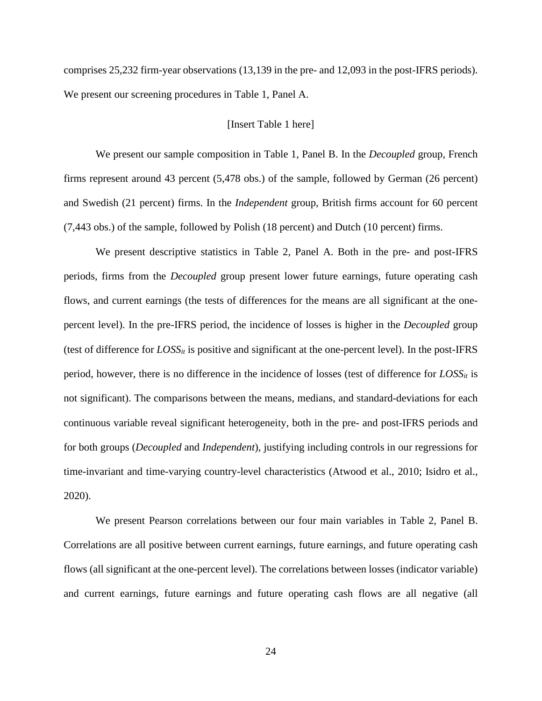comprises 25,232 firm-year observations (13,139 in the pre- and 12,093 in the post-IFRS periods). We present our screening procedures in Table 1, Panel A.

#### [Insert Table 1 here]

We present our sample composition in Table 1, Panel B. In the *Decoupled* group, French firms represent around 43 percent (5,478 obs.) of the sample, followed by German (26 percent) and Swedish (21 percent) firms. In the *Independent* group, British firms account for 60 percent (7,443 obs.) of the sample, followed by Polish (18 percent) and Dutch (10 percent) firms.

We present descriptive statistics in Table 2, Panel A. Both in the pre- and post-IFRS periods, firms from the *Decoupled* group present lower future earnings, future operating cash flows, and current earnings (the tests of differences for the means are all significant at the onepercent level). In the pre-IFRS period, the incidence of losses is higher in the *Decoupled* group (test of difference for  $Loss_{it}$  is positive and significant at the one-percent level). In the post-IFRS period, however, there is no difference in the incidence of losses (test of difference for  $Loss_{it}$  is not significant). The comparisons between the means, medians, and standard-deviations for each continuous variable reveal significant heterogeneity, both in the pre- and post-IFRS periods and for both groups (*Decoupled* and *Independent*), justifying including controls in our regressions for time-invariant and time-varying country-level characteristics (Atwood et al., 2010; Isidro et al., 2020).

We present Pearson correlations between our four main variables in Table 2, Panel B. Correlations are all positive between current earnings, future earnings, and future operating cash flows (all significant at the one-percent level). The correlations between losses (indicator variable) and current earnings, future earnings and future operating cash flows are all negative (all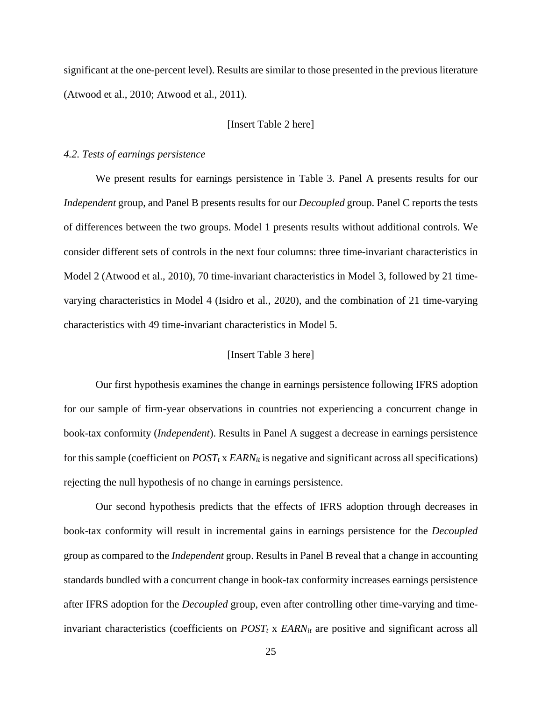significant at the one-percent level). Results are similar to those presented in the previous literature (Atwood et al., 2010; Atwood et al., 2011).

#### [Insert Table 2 here]

#### *4.2. Tests of earnings persistence*

We present results for earnings persistence in Table 3. Panel A presents results for our *Independent* group, and Panel B presents results for our *Decoupled* group. Panel C reports the tests of differences between the two groups. Model 1 presents results without additional controls. We consider different sets of controls in the next four columns: three time-invariant characteristics in Model 2 (Atwood et al., 2010), 70 time-invariant characteristics in Model 3, followed by 21 timevarying characteristics in Model 4 (Isidro et al., 2020), and the combination of 21 time-varying characteristics with 49 time-invariant characteristics in Model 5.

#### [Insert Table 3 here]

Our first hypothesis examines the change in earnings persistence following IFRS adoption for our sample of firm-year observations in countries not experiencing a concurrent change in book-tax conformity (*Independent*). Results in Panel A suggest a decrease in earnings persistence for this sample (coefficient on  $POST_t$  x  $EARN_t$  is negative and significant across all specifications) rejecting the null hypothesis of no change in earnings persistence.

Our second hypothesis predicts that the effects of IFRS adoption through decreases in book-tax conformity will result in incremental gains in earnings persistence for the *Decoupled*  group as compared to the *Independent* group. Results in Panel B reveal that a change in accounting standards bundled with a concurrent change in book-tax conformity increases earnings persistence after IFRS adoption for the *Decoupled* group, even after controlling other time-varying and timeinvariant characteristics (coefficients on  $POST_t$  x  $EARN_t$  are positive and significant across all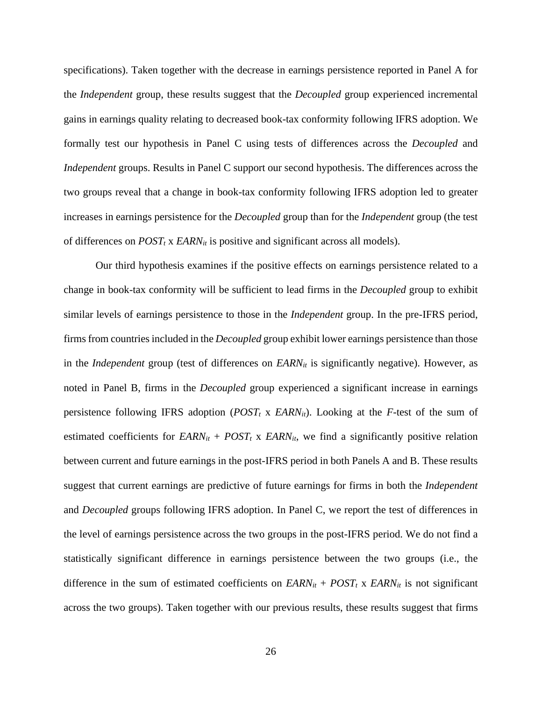specifications). Taken together with the decrease in earnings persistence reported in Panel A for the *Independent* group, these results suggest that the *Decoupled* group experienced incremental gains in earnings quality relating to decreased book-tax conformity following IFRS adoption. We formally test our hypothesis in Panel C using tests of differences across the *Decoupled* and *Independent* groups. Results in Panel C support our second hypothesis. The differences across the two groups reveal that a change in book-tax conformity following IFRS adoption led to greater increases in earnings persistence for the *Decoupled* group than for the *Independent* group (the test of differences on  $POST_t$  x  $EARN_{it}$  is positive and significant across all models).

Our third hypothesis examines if the positive effects on earnings persistence related to a change in book-tax conformity will be sufficient to lead firms in the *Decoupled* group to exhibit similar levels of earnings persistence to those in the *Independent* group. In the pre-IFRS period, firms from countries included in the *Decoupled* group exhibit lower earnings persistence than those in the *Independent* group (test of differences on *EARN<sub>it</sub>* is significantly negative). However, as noted in Panel B, firms in the *Decoupled* group experienced a significant increase in earnings persistence following IFRS adoption ( $POST_t$  x  $EARN_{it}$ ). Looking at the *F*-test of the sum of estimated coefficients for  $EARN_{it} + POST_t$  x  $EARN_{it}$ , we find a significantly positive relation between current and future earnings in the post-IFRS period in both Panels A and B. These results suggest that current earnings are predictive of future earnings for firms in both the *Independent*  and *Decoupled* groups following IFRS adoption. In Panel C, we report the test of differences in the level of earnings persistence across the two groups in the post-IFRS period. We do not find a statistically significant difference in earnings persistence between the two groups (i.e., the difference in the sum of estimated coefficients on  $EARN_{it} + POST_t$  x  $EARN_{it}$  is not significant across the two groups). Taken together with our previous results, these results suggest that firms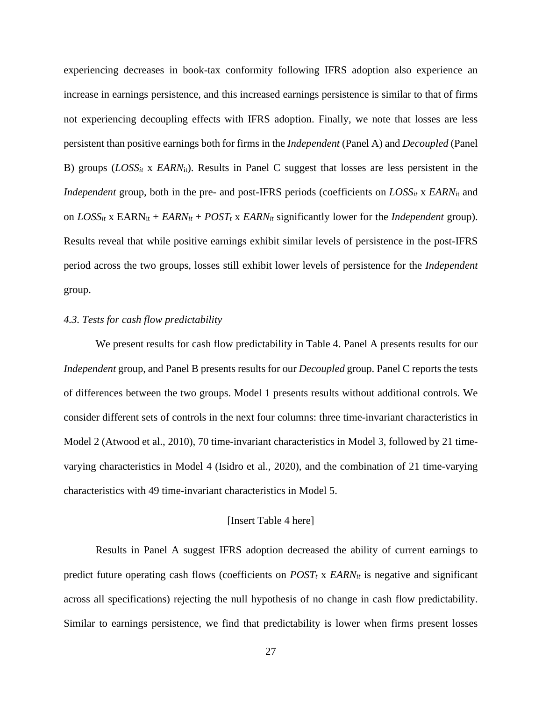experiencing decreases in book-tax conformity following IFRS adoption also experience an increase in earnings persistence, and this increased earnings persistence is similar to that of firms not experiencing decoupling effects with IFRS adoption. Finally, we note that losses are less persistent than positive earnings both for firms in the *Independent* (Panel A) and *Decoupled* (Panel B) groups (*LOSS<sub>it</sub>* x *EARN*<sub>it</sub>). Results in Panel C suggest that losses are less persistent in the *Independent* group, both in the pre- and post-IFRS periods (coefficients on *LOSS<sub>it</sub>* x *EARN*<sub>it</sub> and on  $Loss_{it}$  x  $EARN_{it} + EARN_{it} + POST_{t}$  x  $EARN_{it}$  significantly lower for the *Independent* group). Results reveal that while positive earnings exhibit similar levels of persistence in the post-IFRS period across the two groups, losses still exhibit lower levels of persistence for the *Independent*  group.

#### *4.3. Tests for cash flow predictability*

We present results for cash flow predictability in Table 4. Panel A presents results for our *Independent* group, and Panel B presents results for our *Decoupled* group. Panel C reports the tests of differences between the two groups. Model 1 presents results without additional controls. We consider different sets of controls in the next four columns: three time-invariant characteristics in Model 2 (Atwood et al., 2010), 70 time-invariant characteristics in Model 3, followed by 21 timevarying characteristics in Model 4 (Isidro et al., 2020), and the combination of 21 time-varying characteristics with 49 time-invariant characteristics in Model 5.

#### [Insert Table 4 here]

Results in Panel A suggest IFRS adoption decreased the ability of current earnings to predict future operating cash flows (coefficients on  $POST_t$  x  $EARN_t$  is negative and significant across all specifications) rejecting the null hypothesis of no change in cash flow predictability. Similar to earnings persistence, we find that predictability is lower when firms present losses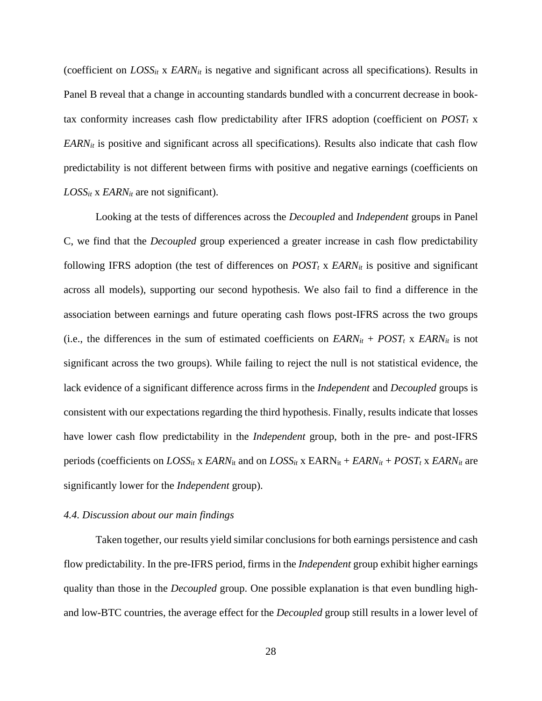(coefficient on  $Loss_{it}$  x  $EARN_{it}$  is negative and significant across all specifications). Results in Panel B reveal that a change in accounting standards bundled with a concurrent decrease in booktax conformity increases cash flow predictability after IFRS adoption (coefficient on  $POST_t$  x *EARNit* is positive and significant across all specifications). Results also indicate that cash flow predictability is not different between firms with positive and negative earnings (coefficients on  $Loss_{it}$  x  $EARN_{it}$  are not significant).

Looking at the tests of differences across the *Decoupled* and *Independent* groups in Panel C, we find that the *Decoupled* group experienced a greater increase in cash flow predictability following IFRS adoption (the test of differences on  $POST_t$  x  $EARN_{it}$  is positive and significant across all models), supporting our second hypothesis. We also fail to find a difference in the association between earnings and future operating cash flows post-IFRS across the two groups (i.e., the differences in the sum of estimated coefficients on  $EARN_{it} + POST_t$  x  $EARN_{it}$  is not significant across the two groups). While failing to reject the null is not statistical evidence, the lack evidence of a significant difference across firms in the *Independent* and *Decoupled* groups is consistent with our expectations regarding the third hypothesis. Finally, results indicate that losses have lower cash flow predictability in the *Independent* group, both in the pre- and post-IFRS periods (coefficients on  $LOSS_{it}$  x  $EARN_{it}$  and on  $LOSS_{it}$  x  $EARN_{it} + EARN_{it} + POST_t$  x  $EARN_{it}$  are significantly lower for the *Independent* group).

#### *4.4. Discussion about our main findings*

Taken together, our results yield similar conclusions for both earnings persistence and cash flow predictability. In the pre-IFRS period, firms in the *Independent* group exhibit higher earnings quality than those in the *Decoupled* group. One possible explanation is that even bundling highand low-BTC countries, the average effect for the *Decoupled* group still results in a lower level of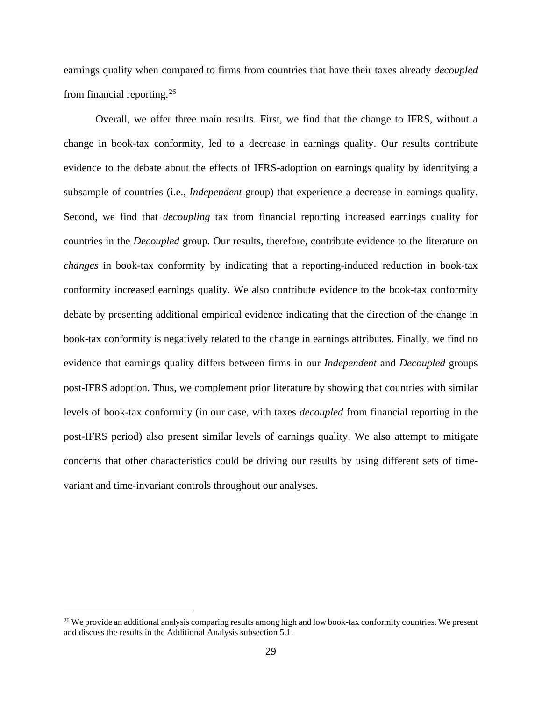earnings quality when compared to firms from countries that have their taxes already *decoupled*  from financial reporting.[26](#page-30-0)

Overall, we offer three main results. First, we find that the change to IFRS, without a change in book-tax conformity, led to a decrease in earnings quality. Our results contribute evidence to the debate about the effects of IFRS-adoption on earnings quality by identifying a subsample of countries (i.e., *Independent* group) that experience a decrease in earnings quality. Second, we find that *decoupling* tax from financial reporting increased earnings quality for countries in the *Decoupled* group. Our results, therefore, contribute evidence to the literature on *changes* in book-tax conformity by indicating that a reporting-induced reduction in book-tax conformity increased earnings quality. We also contribute evidence to the book-tax conformity debate by presenting additional empirical evidence indicating that the direction of the change in book-tax conformity is negatively related to the change in earnings attributes. Finally, we find no evidence that earnings quality differs between firms in our *Independent* and *Decoupled* groups post-IFRS adoption. Thus, we complement prior literature by showing that countries with similar levels of book-tax conformity (in our case, with taxes *decoupled* from financial reporting in the post-IFRS period) also present similar levels of earnings quality. We also attempt to mitigate concerns that other characteristics could be driving our results by using different sets of timevariant and time-invariant controls throughout our analyses.

<span id="page-30-0"></span><sup>&</sup>lt;sup>26</sup> We provide an additional analysis comparing results among high and low book-tax conformity countries. We present and discuss the results in the Additional Analysis subsection 5.1.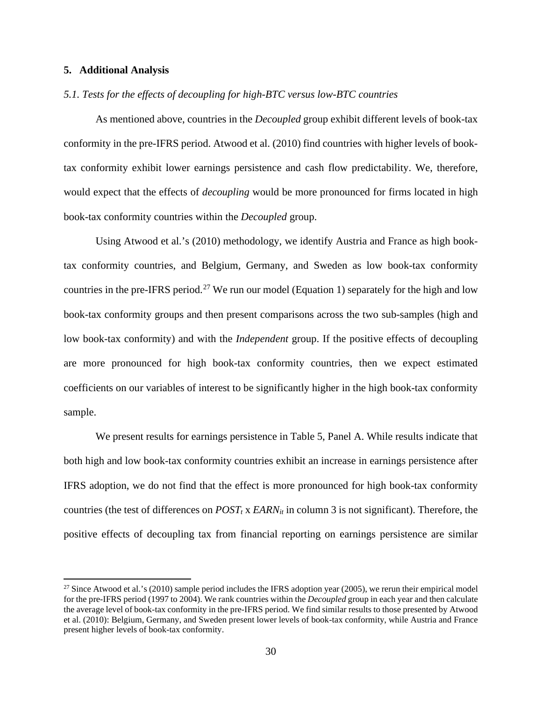#### **5. Additional Analysis**

#### *5.1. Tests for the effects of decoupling for high-BTC versus low-BTC countries*

As mentioned above, countries in the *Decoupled* group exhibit different levels of book-tax conformity in the pre-IFRS period. Atwood et al. (2010) find countries with higher levels of booktax conformity exhibit lower earnings persistence and cash flow predictability. We, therefore, would expect that the effects of *decoupling* would be more pronounced for firms located in high book-tax conformity countries within the *Decoupled* group.

Using Atwood et al.'s (2010) methodology, we identify Austria and France as high booktax conformity countries, and Belgium, Germany, and Sweden as low book-tax conformity countries in the pre-IFRS period.<sup>[27](#page-31-0)</sup> We run our model (Equation 1) separately for the high and low book-tax conformity groups and then present comparisons across the two sub-samples (high and low book-tax conformity) and with the *Independent* group. If the positive effects of decoupling are more pronounced for high book-tax conformity countries, then we expect estimated coefficients on our variables of interest to be significantly higher in the high book-tax conformity sample.

We present results for earnings persistence in Table 5, Panel A. While results indicate that both high and low book-tax conformity countries exhibit an increase in earnings persistence after IFRS adoption, we do not find that the effect is more pronounced for high book-tax conformity countries (the test of differences on  $POST_t$  x  $EARN_{it}$  in column 3 is not significant). Therefore, the positive effects of decoupling tax from financial reporting on earnings persistence are similar

<span id="page-31-0"></span> $27$  Since Atwood et al.'s (2010) sample period includes the IFRS adoption year (2005), we rerun their empirical model for the pre-IFRS period (1997 to 2004). We rank countries within the *Decoupled* group in each year and then calculate the average level of book-tax conformity in the pre-IFRS period. We find similar results to those presented by Atwood et al. (2010): Belgium, Germany, and Sweden present lower levels of book-tax conformity, while Austria and France present higher levels of book-tax conformity.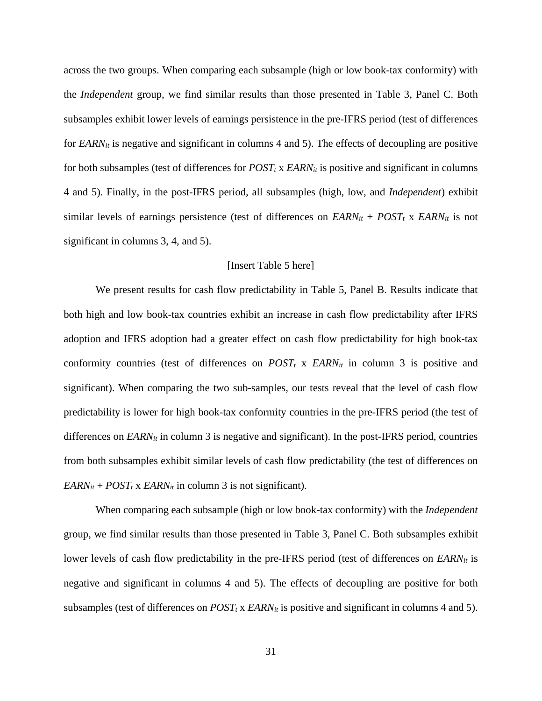across the two groups. When comparing each subsample (high or low book-tax conformity) with the *Independent* group, we find similar results than those presented in Table 3, Panel C. Both subsamples exhibit lower levels of earnings persistence in the pre-IFRS period (test of differences for *EARN<sub>it</sub>* is negative and significant in columns 4 and 5). The effects of decoupling are positive for both subsamples (test of differences for  $POST_t$  x  $EARN_{it}$  is positive and significant in columns 4 and 5). Finally, in the post-IFRS period, all subsamples (high, low, and *Independent*) exhibit similar levels of earnings persistence (test of differences on  $\text{EARN}_{it} + \text{POST}_{t} \times \text{EARN}_{it}$  is not significant in columns 3, 4, and 5).

#### [Insert Table 5 here]

We present results for cash flow predictability in Table 5, Panel B. Results indicate that both high and low book-tax countries exhibit an increase in cash flow predictability after IFRS adoption and IFRS adoption had a greater effect on cash flow predictability for high book-tax conformity countries (test of differences on  $POST_t$  x  $EARN_{it}$  in column 3 is positive and significant). When comparing the two sub-samples, our tests reveal that the level of cash flow predictability is lower for high book-tax conformity countries in the pre-IFRS period (the test of differences on  $\text{EARN}_{it}$  in column 3 is negative and significant). In the post-IFRS period, countries from both subsamples exhibit similar levels of cash flow predictability (the test of differences on  $EARN_{it} + POST_{t} \times EARN_{it}$  in column 3 is not significant).

When comparing each subsample (high or low book-tax conformity) with the *Independent*  group, we find similar results than those presented in Table 3, Panel C. Both subsamples exhibit lower levels of cash flow predictability in the pre-IFRS period (test of differences on *EARN<sub>it</sub>* is negative and significant in columns 4 and 5). The effects of decoupling are positive for both subsamples (test of differences on  $POST_t$  x  $EARN_{it}$  is positive and significant in columns 4 and 5).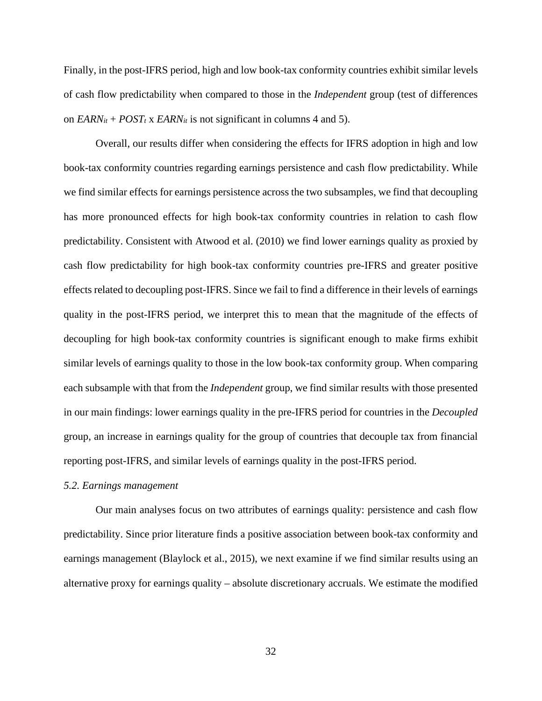Finally, in the post-IFRS period, high and low book-tax conformity countries exhibit similar levels of cash flow predictability when compared to those in the *Independent* group (test of differences on  $EARN_{it} + POST_t$  x  $EARN_{it}$  is not significant in columns 4 and 5).

Overall, our results differ when considering the effects for IFRS adoption in high and low book-tax conformity countries regarding earnings persistence and cash flow predictability. While we find similar effects for earnings persistence across the two subsamples, we find that decoupling has more pronounced effects for high book-tax conformity countries in relation to cash flow predictability. Consistent with Atwood et al. (2010) we find lower earnings quality as proxied by cash flow predictability for high book-tax conformity countries pre-IFRS and greater positive effects related to decoupling post-IFRS. Since we fail to find a difference in their levels of earnings quality in the post-IFRS period, we interpret this to mean that the magnitude of the effects of decoupling for high book-tax conformity countries is significant enough to make firms exhibit similar levels of earnings quality to those in the low book-tax conformity group. When comparing each subsample with that from the *Independent* group, we find similar results with those presented in our main findings: lower earnings quality in the pre-IFRS period for countries in the *Decoupled*  group, an increase in earnings quality for the group of countries that decouple tax from financial reporting post-IFRS, and similar levels of earnings quality in the post-IFRS period.

#### *5.2. Earnings management*

Our main analyses focus on two attributes of earnings quality: persistence and cash flow predictability. Since prior literature finds a positive association between book-tax conformity and earnings management (Blaylock et al., 2015), we next examine if we find similar results using an alternative proxy for earnings quality – absolute discretionary accruals. We estimate the modified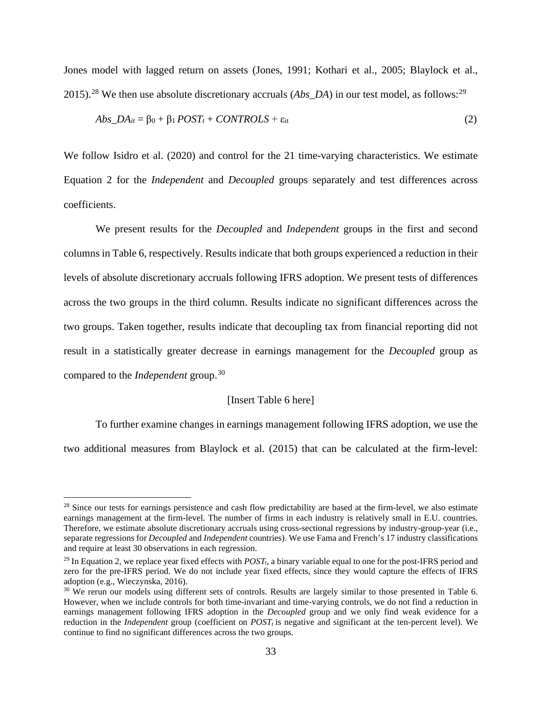Jones model with lagged return on assets (Jones, 1991; Kothari et al., 2005; Blaylock et al., 2015).<sup>[28](#page-34-0)</sup> We then use absolute discretionary accruals (*Abs\_DA*) in our test model, as follows:<sup>[29](#page-34-1)</sup>

$$
Abs\_DA_{it} = \beta_0 + \beta_1 POST_t + CONTROLS + \varepsilon_{it}
$$
\n(2)

We follow Isidro et al. (2020) and control for the 21 time-varying characteristics. We estimate Equation 2 for the *Independent* and *Decoupled* groups separately and test differences across coefficients.

We present results for the *Decoupled* and *Independent* groups in the first and second columns in Table 6, respectively. Results indicate that both groups experienced a reduction in their levels of absolute discretionary accruals following IFRS adoption. We present tests of differences across the two groups in the third column. Results indicate no significant differences across the two groups. Taken together, results indicate that decoupling tax from financial reporting did not result in a statistically greater decrease in earnings management for the *Decoupled* group as compared to the *Independent* group.[30](#page-34-2)

#### [Insert Table 6 here]

To further examine changes in earnings management following IFRS adoption, we use the two additional measures from Blaylock et al. (2015) that can be calculated at the firm-level:

<span id="page-34-0"></span> $28$  Since our tests for earnings persistence and cash flow predictability are based at the firm-level, we also estimate earnings management at the firm-level. The number of firms in each industry is relatively small in E.U. countries. Therefore, we estimate absolute discretionary accruals using cross-sectional regressions by industry-group-year (i.e., separate regressions for *Decoupled* and *Independent* countries). We use Fama and French's 17 industry classifications and require at least 30 observations in each regression.

<span id="page-34-1"></span><sup>&</sup>lt;sup>29</sup> In Equation 2, we replace year fixed effects with  $POST<sub>t</sub>$ , a binary variable equal to one for the post-IFRS period and zero for the pre-IFRS period. We do not include year fixed effects, since they would capture the effects of IFRS adoption (e.g., Wieczynska, 2016).

<span id="page-34-2"></span> $30\,$  We rerun our models using different sets of controls. Results are largely similar to those presented in Table 6. However, when we include controls for both time-invariant and time-varying controls, we do not find a reduction in earnings management following IFRS adoption in the *Decoupled* group and we only find weak evidence for a reduction in the *Independent* group (coefficient on  $POST<sub>t</sub>$  is negative and significant at the ten-percent level). We continue to find no significant differences across the two groups.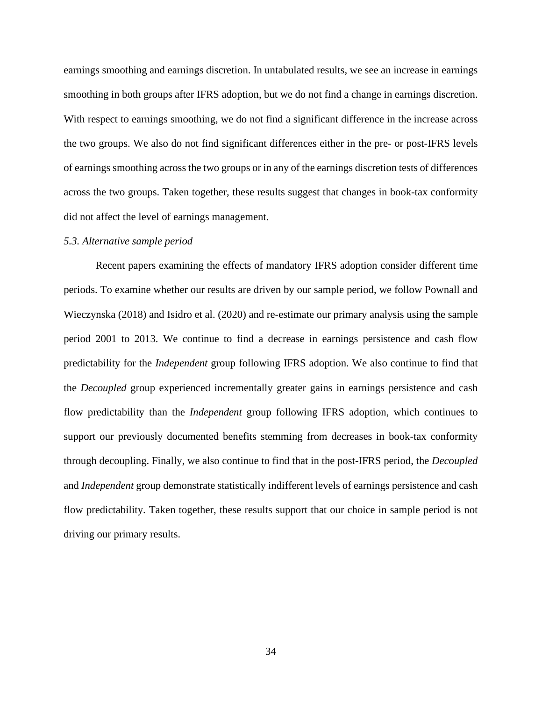earnings smoothing and earnings discretion. In untabulated results, we see an increase in earnings smoothing in both groups after IFRS adoption, but we do not find a change in earnings discretion. With respect to earnings smoothing, we do not find a significant difference in the increase across the two groups. We also do not find significant differences either in the pre- or post-IFRS levels of earnings smoothing across the two groups or in any of the earnings discretion tests of differences across the two groups. Taken together, these results suggest that changes in book-tax conformity did not affect the level of earnings management.

#### *5.3. Alternative sample period*

Recent papers examining the effects of mandatory IFRS adoption consider different time periods. To examine whether our results are driven by our sample period, we follow Pownall and Wieczynska (2018) and Isidro et al. (2020) and re-estimate our primary analysis using the sample period 2001 to 2013. We continue to find a decrease in earnings persistence and cash flow predictability for the *Independent* group following IFRS adoption. We also continue to find that the *Decoupled* group experienced incrementally greater gains in earnings persistence and cash flow predictability than the *Independent* group following IFRS adoption, which continues to support our previously documented benefits stemming from decreases in book-tax conformity through decoupling. Finally, we also continue to find that in the post-IFRS period, the *Decoupled*  and *Independent* group demonstrate statistically indifferent levels of earnings persistence and cash flow predictability. Taken together, these results support that our choice in sample period is not driving our primary results.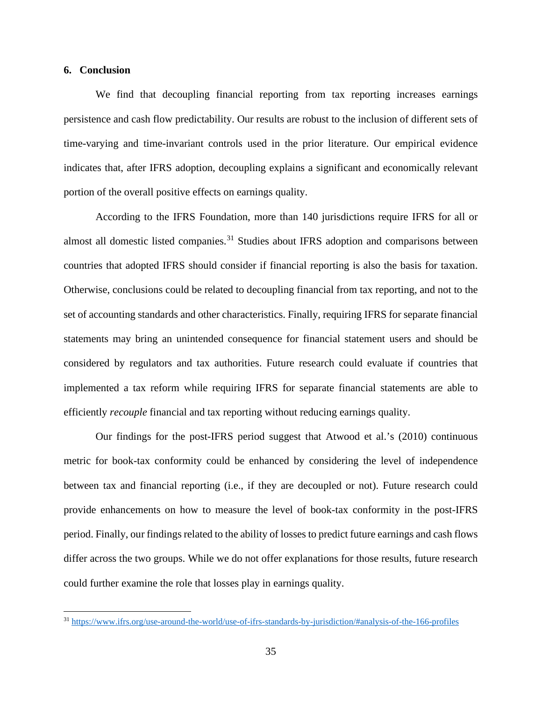#### **6. Conclusion**

We find that decoupling financial reporting from tax reporting increases earnings persistence and cash flow predictability. Our results are robust to the inclusion of different sets of time-varying and time-invariant controls used in the prior literature. Our empirical evidence indicates that, after IFRS adoption, decoupling explains a significant and economically relevant portion of the overall positive effects on earnings quality.

According to the IFRS Foundation, more than 140 jurisdictions require IFRS for all or almost all domestic listed companies.<sup>[31](#page-36-0)</sup> Studies about IFRS adoption and comparisons between countries that adopted IFRS should consider if financial reporting is also the basis for taxation. Otherwise, conclusions could be related to decoupling financial from tax reporting, and not to the set of accounting standards and other characteristics. Finally, requiring IFRS for separate financial statements may bring an unintended consequence for financial statement users and should be considered by regulators and tax authorities. Future research could evaluate if countries that implemented a tax reform while requiring IFRS for separate financial statements are able to efficiently *recouple* financial and tax reporting without reducing earnings quality.

Our findings for the post-IFRS period suggest that Atwood et al.'s (2010) continuous metric for book-tax conformity could be enhanced by considering the level of independence between tax and financial reporting (i.e., if they are decoupled or not). Future research could provide enhancements on how to measure the level of book-tax conformity in the post-IFRS period. Finally, our findings related to the ability of losses to predict future earnings and cash flows differ across the two groups. While we do not offer explanations for those results, future research could further examine the role that losses play in earnings quality.

<span id="page-36-0"></span><sup>31</sup> <https://www.ifrs.org/use-around-the-world/use-of-ifrs-standards-by-jurisdiction/#analysis-of-the-166-profiles>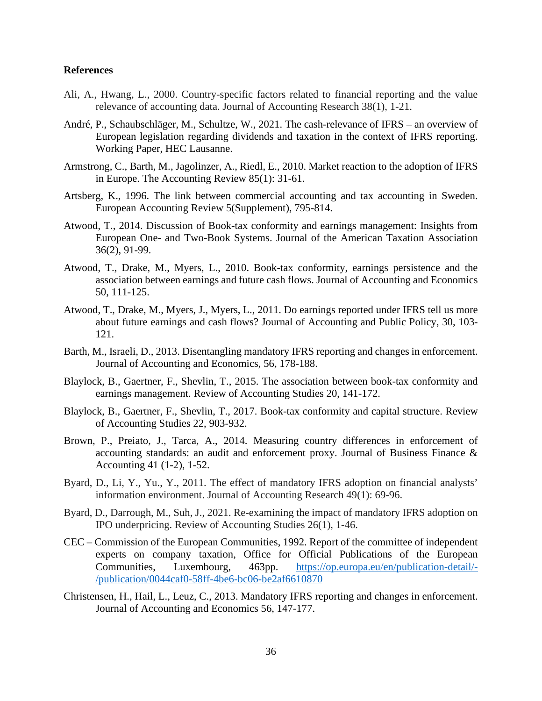#### **References**

- Ali, A., Hwang, L., 2000. Country-specific factors related to financial reporting and the value relevance of accounting data. Journal of Accounting Research 38(1), 1-21.
- André, P., Schaubschläger, M., Schultze, W., 2021. The cash-relevance of IFRS an overview of European legislation regarding dividends and taxation in the context of IFRS reporting. Working Paper, HEC Lausanne.
- Armstrong, C., Barth, M., Jagolinzer, A., Riedl, E., 2010. Market reaction to the adoption of IFRS in Europe. The Accounting Review 85(1): 31-61.
- Artsberg, K., 1996. The link between commercial accounting and tax accounting in Sweden. European Accounting Review 5(Supplement), 795-814.
- Atwood, T., 2014. Discussion of Book-tax conformity and earnings management: Insights from European One- and Two-Book Systems. Journal of the American Taxation Association 36(2), 91-99.
- Atwood, T., Drake, M., Myers, L., 2010. Book-tax conformity, earnings persistence and the association between earnings and future cash flows. Journal of Accounting and Economics 50, 111-125.
- Atwood, T., Drake, M., Myers, J., Myers, L., 2011. Do earnings reported under IFRS tell us more about future earnings and cash flows? Journal of Accounting and Public Policy, 30, 103- 121.
- Barth, M., Israeli, D., 2013. Disentangling mandatory IFRS reporting and changes in enforcement. Journal of Accounting and Economics, 56, 178-188.
- Blaylock, B., Gaertner, F., Shevlin, T., 2015. The association between book-tax conformity and earnings management. Review of Accounting Studies 20, 141-172.
- Blaylock, B., Gaertner, F., Shevlin, T., 2017. Book-tax conformity and capital structure. Review of Accounting Studies 22, 903-932.
- Brown, P., Preiato, J., Tarca, A., 2014. Measuring country differences in enforcement of accounting standards: an audit and enforcement proxy. Journal of Business Finance & Accounting 41 (1-2), 1-52.
- Byard, D., Li, Y., Yu., Y., 2011. The effect of mandatory IFRS adoption on financial analysts' information environment. Journal of Accounting Research 49(1): 69-96.
- Byard, D., Darrough, M., Suh, J., 2021. Re-examining the impact of mandatory IFRS adoption on IPO underpricing. Review of Accounting Studies 26(1), 1-46.
- CEC Commission of the European Communities, 1992. Report of the committee of independent experts on company taxation, Office for Official Publications of the European Communities, Luxembourg, 463pp. [https://op.europa.eu/en/publication-detail/-](https://op.europa.eu/en/publication-detail/-/publication/0044caf0-58ff-4be6-bc06-be2af6610870) [/publication/0044caf0-58ff-4be6-bc06-be2af6610870](https://op.europa.eu/en/publication-detail/-/publication/0044caf0-58ff-4be6-bc06-be2af6610870)
- Christensen, H., Hail, L., Leuz, C., 2013. Mandatory IFRS reporting and changes in enforcement. Journal of Accounting and Economics 56, 147-177.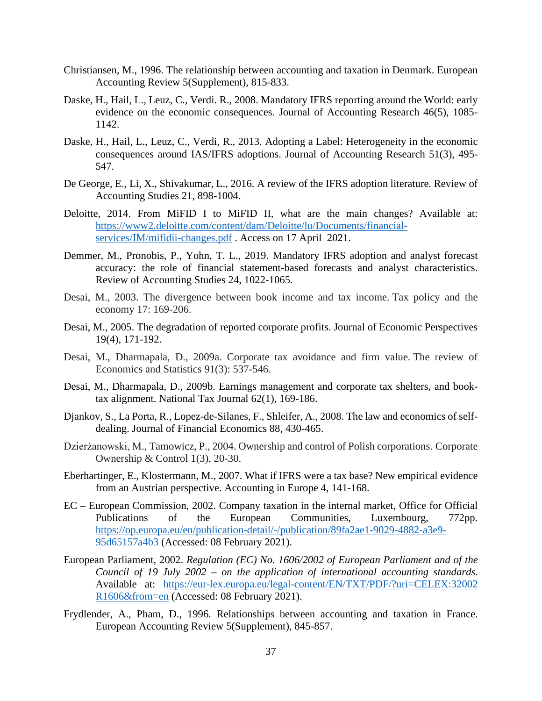- Christiansen, M., 1996. The relationship between accounting and taxation in Denmark. European Accounting Review 5(Supplement), 815-833.
- Daske, H., Hail, L., Leuz, C., Verdi. R., 2008. Mandatory IFRS reporting around the World: early evidence on the economic consequences. Journal of Accounting Research 46(5), 1085- 1142.
- Daske, H., Hail, L., Leuz, C., Verdi, R., 2013. Adopting a Label: Heterogeneity in the economic consequences around IAS/IFRS adoptions. Journal of Accounting Research 51(3), 495- 547.
- De George, E., Li, X., Shivakumar, L., 2016. A review of the IFRS adoption literature. Review of Accounting Studies 21, 898-1004.
- Deloitte, 2014. From MiFID I to MiFID II, what are the main changes? Available at: [https://www2.deloitte.com/content/dam/Deloitte/lu/Documents/financial](https://www2.deloitte.com/content/dam/Deloitte/lu/Documents/financial-services/IM/mifidii-changes.pdf)[services/IM/mifidii-changes.pdf](https://www2.deloitte.com/content/dam/Deloitte/lu/Documents/financial-services/IM/mifidii-changes.pdf). Access on 17 April 2021.
- Demmer, M., Pronobis, P., Yohn, T. L., 2019. Mandatory IFRS adoption and analyst forecast accuracy: the role of financial statement-based forecasts and analyst characteristics. Review of Accounting Studies 24, 1022-1065.
- Desai, M., 2003. The divergence between book income and tax income. Tax policy and the economy 17: 169-206.
- Desai, M., 2005. The degradation of reported corporate profits. Journal of Economic Perspectives 19(4), 171-192.
- Desai, M., Dharmapala, D., 2009a. Corporate tax avoidance and firm value. The review of Economics and Statistics 91(3): 537-546.
- Desai, M., Dharmapala, D., 2009b. Earnings management and corporate tax shelters, and booktax alignment. National Tax Journal 62(1), 169-186.
- Djankov, S., La Porta, R., Lopez-de-Silanes, F., Shleifer, A., 2008. The law and economics of selfdealing. Journal of Financial Economics 88, 430-465.
- Dzierżanowski, M., Tamowicz, P., 2004. Ownership and control of Polish corporations. Corporate Ownership & Control 1(3), 20-30.
- Eberhartinger, E., Klostermann, M., 2007. What if IFRS were a tax base? New empirical evidence from an Austrian perspective. Accounting in Europe 4, 141-168.
- EC European Commission, 2002. Company taxation in the internal market, Office for Official Publications of the European Communities, Luxembourg, 772pp. [https://op.europa.eu/en/publication-detail/-/publication/89fa2ae1-9029-4882-a3e9-](https://op.europa.eu/en/publication-detail/-/publication/89fa2ae1-9029-4882-a3e9-95d65157a4b3) [95d65157a4b3](https://op.europa.eu/en/publication-detail/-/publication/89fa2ae1-9029-4882-a3e9-95d65157a4b3) (Accessed: 08 February 2021).
- European Parliament, 2002. *Regulation (EC) No. 1606/2002 of European Parliament and of the Council of 19 July 2002 – on the application of international accounting standards*. Available at: [https://eur-lex.europa.eu/legal-content/EN/TXT/PDF/?uri=CELEX:32002](https://eur-lex.europa.eu/legal-content/EN/TXT/PDF/?uri=CELEX:32002R1606&from=en) [R1606&from=en](https://eur-lex.europa.eu/legal-content/EN/TXT/PDF/?uri=CELEX:32002R1606&from=en) (Accessed: 08 February 2021).
- Frydlender, A., Pham, D., 1996. Relationships between accounting and taxation in France. European Accounting Review 5(Supplement), 845-857.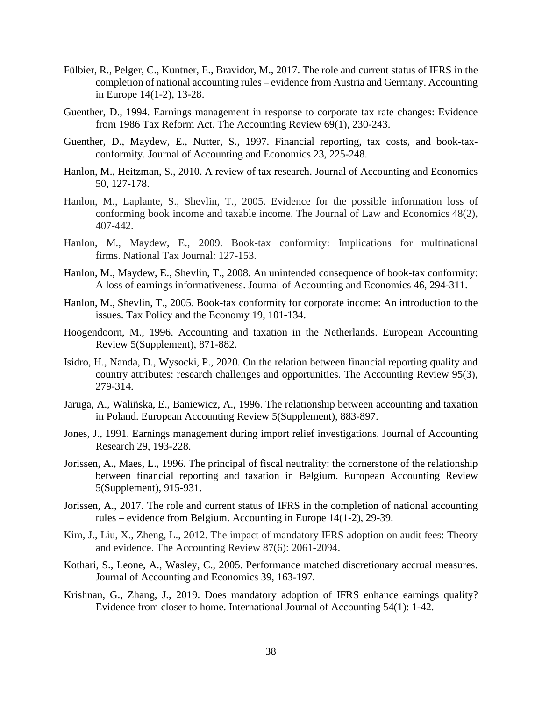- Fülbier, R., Pelger, C., Kuntner, E., Bravidor, M., 2017. The role and current status of IFRS in the completion of national accounting rules – evidence from Austria and Germany. Accounting in Europe 14(1-2), 13-28.
- Guenther, D., 1994. Earnings management in response to corporate tax rate changes: Evidence from 1986 Tax Reform Act. The Accounting Review 69(1), 230-243.
- Guenther, D., Maydew, E., Nutter, S., 1997. Financial reporting, tax costs, and book-taxconformity. Journal of Accounting and Economics 23, 225-248.
- Hanlon, M., Heitzman, S., 2010. A review of tax research. Journal of Accounting and Economics 50, 127-178.
- Hanlon, M., Laplante, S., Shevlin, T., 2005. Evidence for the possible information loss of conforming book income and taxable income. The Journal of Law and Economics 48(2), 407-442.
- Hanlon, M., Maydew, E., 2009. Book-tax conformity: Implications for multinational firms. National Tax Journal: 127-153.
- Hanlon, M., Maydew, E., Shevlin, T., 2008. An unintended consequence of book-tax conformity: A loss of earnings informativeness. Journal of Accounting and Economics 46, 294-311.
- Hanlon, M., Shevlin, T., 2005. Book-tax conformity for corporate income: An introduction to the issues. Tax Policy and the Economy 19, 101-134.
- Hoogendoorn, M., 1996. Accounting and taxation in the Netherlands. European Accounting Review 5(Supplement), 871-882.
- Isidro, H., Nanda, D., Wysocki, P., 2020. On the relation between financial reporting quality and country attributes: research challenges and opportunities. The Accounting Review 95(3), 279-314.
- Jaruga, A., Waliñska, E., Baniewicz, A., 1996. The relationship between accounting and taxation in Poland. European Accounting Review 5(Supplement), 883-897.
- Jones, J., 1991. Earnings management during import relief investigations. Journal of Accounting Research 29, 193-228.
- Jorissen, A., Maes, L., 1996. The principal of fiscal neutrality: the cornerstone of the relationship between financial reporting and taxation in Belgium. European Accounting Review 5(Supplement), 915-931.
- Jorissen, A., 2017. The role and current status of IFRS in the completion of national accounting rules – evidence from Belgium. Accounting in Europe 14(1-2), 29-39.
- Kim, J., Liu, X., Zheng, L., 2012. The impact of mandatory IFRS adoption on audit fees: Theory and evidence. The Accounting Review 87(6): 2061-2094.
- Kothari, S., Leone, A., Wasley, C., 2005. Performance matched discretionary accrual measures. Journal of Accounting and Economics 39, 163-197.
- Krishnan, G., Zhang, J., 2019. Does mandatory adoption of IFRS enhance earnings quality? Evidence from closer to home. International Journal of Accounting 54(1): 1-42.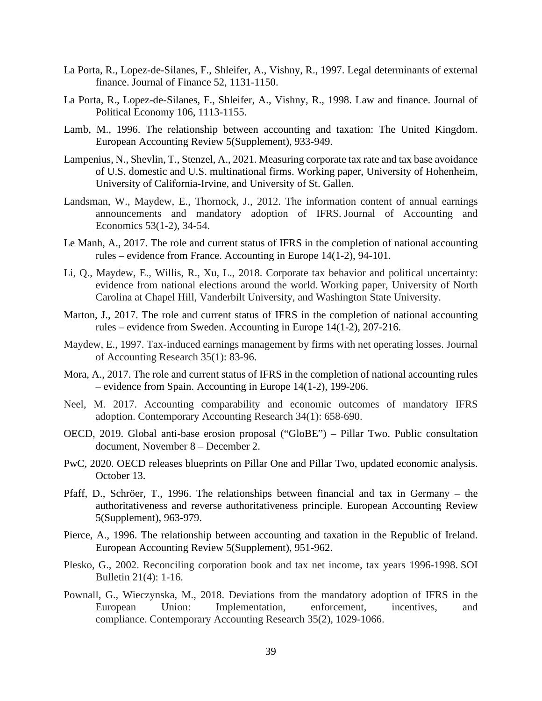- La Porta, R., Lopez-de-Silanes, F., Shleifer, A., Vishny, R., 1997. Legal determinants of external finance. Journal of Finance 52, 1131-1150.
- La Porta, R., Lopez-de-Silanes, F., Shleifer, A., Vishny, R., 1998. Law and finance. Journal of Political Economy 106, 1113-1155.
- Lamb, M., 1996. The relationship between accounting and taxation: The United Kingdom. European Accounting Review 5(Supplement), 933-949.
- Lampenius, N., Shevlin, T., Stenzel, A., 2021. Measuring corporate tax rate and tax base avoidance of U.S. domestic and U.S. multinational firms. Working paper, University of Hohenheim, University of California-Irvine, and University of St. Gallen.
- Landsman, W., Maydew, E., Thornock, J., 2012. The information content of annual earnings announcements and mandatory adoption of IFRS. Journal of Accounting and Economics 53(1-2), 34-54.
- Le Manh, A., 2017. The role and current status of IFRS in the completion of national accounting rules – evidence from France. Accounting in Europe 14(1-2), 94-101.
- Li, Q., Maydew, E., Willis, R., Xu, L., 2018. Corporate tax behavior and political uncertainty: evidence from national elections around the world. Working paper, University of North Carolina at Chapel Hill, Vanderbilt University, and Washington State University.
- Marton, J., 2017. The role and current status of IFRS in the completion of national accounting rules – evidence from Sweden. Accounting in Europe 14(1-2), 207-216.
- Maydew, E., 1997. Tax-induced earnings management by firms with net operating losses. Journal of Accounting Research 35(1): 83-96.
- Mora, A., 2017. The role and current status of IFRS in the completion of national accounting rules – evidence from Spain. Accounting in Europe 14(1-2), 199-206.
- Neel, M. 2017. Accounting comparability and economic outcomes of mandatory IFRS adoption. Contemporary Accounting Research 34(1): 658-690.
- OECD, 2019. Global anti-base erosion proposal ("GloBE") Pillar Two. Public consultation document, November 8 – December 2.
- PwC, 2020. OECD releases blueprints on Pillar One and Pillar Two, updated economic analysis. October 13.
- Pfaff, D., Schröer, T., 1996. The relationships between financial and tax in Germany the authoritativeness and reverse authoritativeness principle. European Accounting Review 5(Supplement), 963-979.
- Pierce, A., 1996. The relationship between accounting and taxation in the Republic of Ireland. European Accounting Review 5(Supplement), 951-962.
- Plesko, G., 2002. Reconciling corporation book and tax net income, tax years 1996-1998. SOI Bulletin 21(4): 1-16.
- Pownall, G., Wieczynska, M., 2018. Deviations from the mandatory adoption of IFRS in the European Union: Implementation, enforcement, incentives, and compliance. Contemporary Accounting Research 35(2), 1029-1066.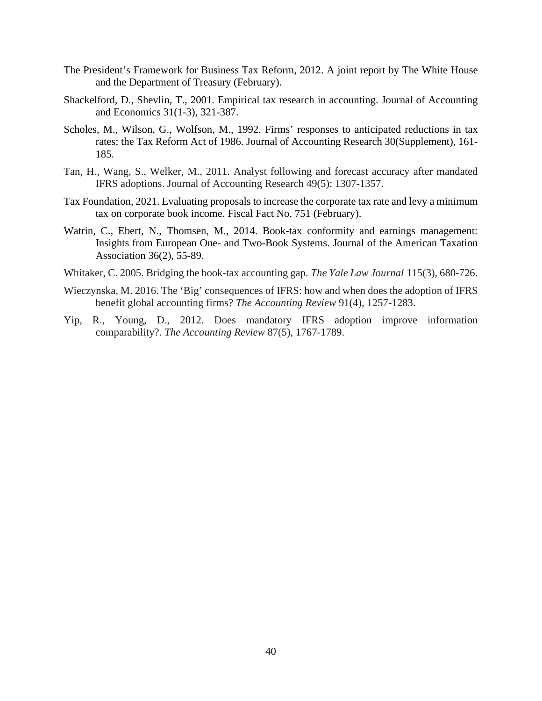- The President's Framework for Business Tax Reform, 2012. A joint report by The White House and the Department of Treasury (February).
- Shackelford, D., Shevlin, T., 2001. Empirical tax research in accounting. Journal of Accounting and Economics 31(1-3), 321-387.
- Scholes, M., Wilson, G., Wolfson, M., 1992. Firms' responses to anticipated reductions in tax rates: the Tax Reform Act of 1986. Journal of Accounting Research 30(Supplement), 161- 185.
- Tan, H., Wang, S., Welker, M., 2011. Analyst following and forecast accuracy after mandated IFRS adoptions. Journal of Accounting Research 49(5): 1307-1357.
- Tax Foundation, 2021. Evaluating proposals to increase the corporate tax rate and levy a minimum tax on corporate book income. Fiscal Fact No. 751 (February).
- Watrin, C., Ebert, N., Thomsen, M., 2014. Book-tax conformity and earnings management: Insights from European One- and Two-Book Systems. Journal of the American Taxation Association 36(2), 55-89.
- Whitaker, C. 2005. Bridging the book-tax accounting gap. *The Yale Law Journal* 115(3), 680-726.
- Wieczynska, M. 2016. The 'Big' consequences of IFRS: how and when does the adoption of IFRS benefit global accounting firms? *The Accounting Review* 91(4), 1257-1283.
- Yip, R., Young, D., 2012. Does mandatory IFRS adoption improve information comparability?. *The Accounting Review* 87(5), 1767-1789.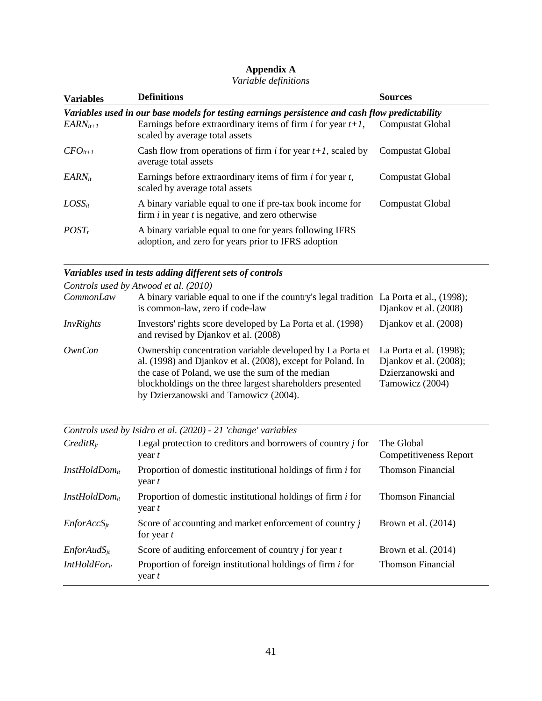# **Appendix A**

### *Variable definitions*

| <b>Variables</b> | <b>Definitions</b>                                                                                                | <b>Sources</b>   |
|------------------|-------------------------------------------------------------------------------------------------------------------|------------------|
|                  | Variables used in our base models for testing earnings persistence and cash flow predictability                   |                  |
| $EARN_{it+1}$    | Earnings before extraordinary items of firm i for year $t+1$ , Compustat Global<br>scaled by average total assets |                  |
| $CFO_{it+1}$     | Cash flow from operations of firm <i>i</i> for year $t+1$ , scaled by<br>average total assets                     | Compustat Global |
| $EARN_{it}$      | Earnings before extraordinary items of firm $i$ for year $t$ ,<br>scaled by average total assets                  | Compustat Global |
| $LOSS_{it}$      | A binary variable equal to one if pre-tax book income for<br>firm $i$ in year $t$ is negative, and zero otherwise | Compustat Global |
| $POST_t$         | A binary variable equal to one for years following IFRS<br>adoption, and zero for years prior to IFRS adoption    |                  |

# *Variables used in tests adding different sets of controls*

|                  | Controls used by Atwood et al. (2010)                                                                                                                                                                                                                                              |                                                                                           |
|------------------|------------------------------------------------------------------------------------------------------------------------------------------------------------------------------------------------------------------------------------------------------------------------------------|-------------------------------------------------------------------------------------------|
| <i>CommonLaw</i> | A binary variable equal to one if the country's legal tradition La Porta et al., (1998);<br>is common-law, zero if code-law                                                                                                                                                        | Djankov et al. (2008)                                                                     |
| InvRights        | Investors' rights score developed by La Porta et al. (1998)<br>and revised by Djankov et al. (2008)                                                                                                                                                                                | Djankov et al. (2008)                                                                     |
| OwnCon           | Ownership concentration variable developed by La Porta et<br>al. (1998) and Djankov et al. (2008), except for Poland. In<br>the case of Poland, we use the sum of the median<br>blockholdings on the three largest shareholders presented<br>by Dzierzanowski and Tamowicz (2004). | La Porta et al. (1998);<br>Djankov et al. (2008);<br>Dzierzanowski and<br>Tamowicz (2004) |

|                           | Controls used by Isidro et al. (2020) - 21 'change' variables                 |                                             |
|---------------------------|-------------------------------------------------------------------------------|---------------------------------------------|
| $CreditR_{it}$            | Legal protection to creditors and borrowers of country <i>j</i> for<br>year t | The Global<br><b>Competitiveness Report</b> |
| InstHoldDom <sub>it</sub> | Proportion of domestic institutional holdings of firm <i>i</i> for<br>year t  | <b>Thomson Financial</b>                    |
| InstHoldDom <sub>it</sub> | Proportion of domestic institutional holdings of firm <i>i</i> for<br>year t  | <b>Thomson Financial</b>                    |
| $EnforAccS_{it}$          | Score of accounting and market enforcement of country j<br>for year $t$       | Brown et al. $(2014)$                       |
| $EnfordudS_{it}$          | Score of auditing enforcement of country $j$ for year $t$                     | Brown et al. $(2014)$                       |
| IntHoldFor <sub>it</sub>  | Proportion of foreign institutional holdings of firm <i>i</i> for<br>year t   | <b>Thomson Financial</b>                    |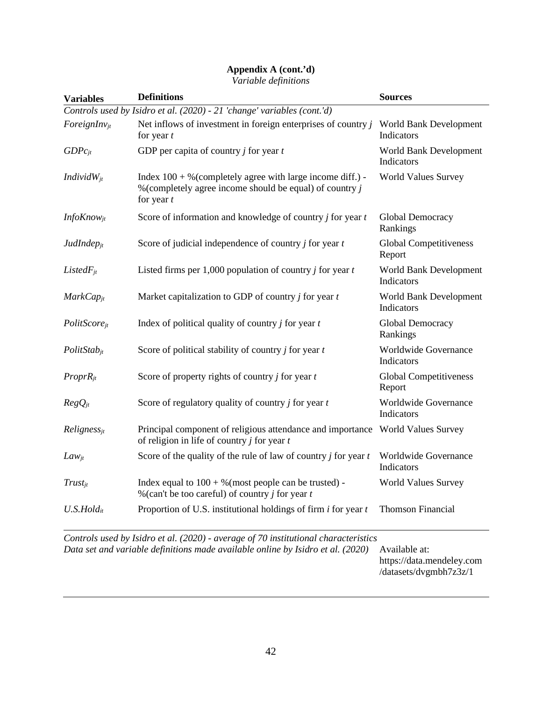# **Appendix A (cont.'d)**

*Variable definitions*

| <b>Variables</b>           | <b>Definitions</b>                                                                                                                         | <b>Sources</b>                          |
|----------------------------|--------------------------------------------------------------------------------------------------------------------------------------------|-----------------------------------------|
|                            | Controls used by Isidro et al. (2020) - 21 'change' variables (cont.'d)                                                                    |                                         |
| $\textit{ForeignInv}_{it}$ | Net inflows of investment in foreign enterprises of country $j$<br>for year $t$                                                            | World Bank Development<br>Indicators    |
| $GDPc_{it}$                | GDP per capita of country $j$ for year $t$                                                                                                 | World Bank Development<br>Indicators    |
| <i>Individ</i> $W_{it}$    | Index $100 + %$ (completely agree with large income diff.) -<br>% (completely agree income should be equal) of country $j$<br>for year $t$ | <b>World Values Survey</b>              |
| $InfoKnow_{it}$            | Score of information and knowledge of country <i>j</i> for year <i>t</i>                                                                   | Global Democracy<br>Rankings            |
| $JudIndep_{it}$            | Score of judicial independence of country $j$ for year $t$                                                                                 | Global Competitiveness<br>Report        |
| $ListedF_{it}$             | Listed firms per 1,000 population of country <i>j</i> for year $t$                                                                         | World Bank Development<br>Indicators    |
| $MarkCap_{it}$             | Market capitalization to GDP of country $j$ for year $t$                                                                                   | World Bank Development<br>Indicators    |
| PolitScore <sub>it</sub>   | Index of political quality of country $j$ for year $t$                                                                                     | Global Democracy<br>Rankings            |
| $PolitStab_{it}$           | Score of political stability of country $j$ for year $t$                                                                                   | Worldwide Governance<br>Indicators      |
| $ProprR_{it}$              | Score of property rights of country $j$ for year $t$                                                                                       | <b>Global Competitiveness</b><br>Report |
| $RegQ_{jt}$                | Score of regulatory quality of country $j$ for year $t$                                                                                    | Worldwide Governance<br>Indicators      |
| $Religness_{it}$           | Principal component of religious attendance and importance World Values Survey<br>of religion in life of country $j$ for year $t$          |                                         |
| $Law_{it}$                 | Score of the quality of the rule of law of country $j$ for year $t$                                                                        | Worldwide Governance<br>Indicators      |
| $Trust_{it}$               | Index equal to $100 + %$ (most people can be trusted) -<br>% (can't be too careful) of country $j$ for year $t$                            | <b>World Values Survey</b>              |
| $U.S.Hold_{it}$            | Proportion of U.S. institutional holdings of firm $i$ for year $t$                                                                         | <b>Thomson Financial</b>                |
|                            |                                                                                                                                            |                                         |

*Controls used by Isidro et al. (2020) - average of 70 institutional characteristics Data set and variable definitions made available online by Isidro et al. (2020)* Available at: https://data.mendeley.com /datasets/dvgmbh7z3z/1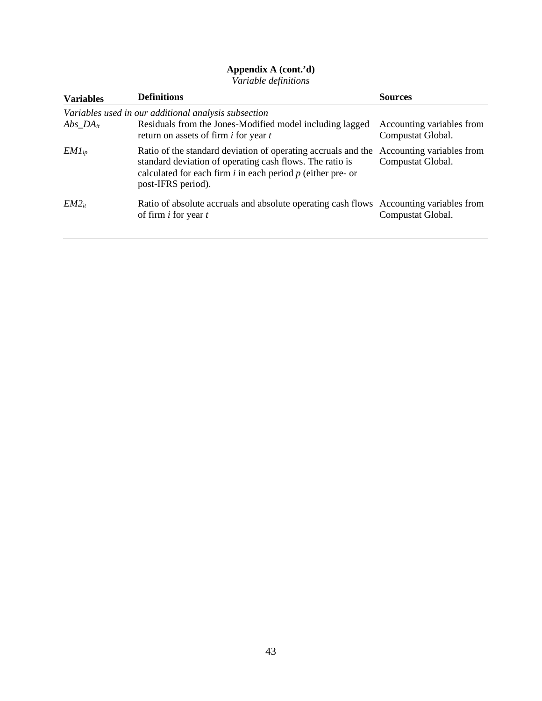#### **Appendix A (cont.'d)**

*Variable definitions*

| <b>Variables</b> | <b>Definitions</b>                                                                                                                                                                                                 | <b>Sources</b>                                 |
|------------------|--------------------------------------------------------------------------------------------------------------------------------------------------------------------------------------------------------------------|------------------------------------------------|
|                  | Variables used in our additional analysis subsection                                                                                                                                                               |                                                |
| $Abs\_DA_{it}$   | Residuals from the Jones-Modified model including lagged<br>return on assets of firm <i>i</i> for year <i>t</i>                                                                                                    | Accounting variables from<br>Compustat Global. |
| $EM1_{ip}$       | Ratio of the standard deviation of operating accruals and the<br>standard deviation of operating cash flows. The ratio is<br>calculated for each firm $i$ in each period $p$ (either pre- or<br>post-IFRS period). | Accounting variables from<br>Compustat Global. |
| $EM2_{it}$       | Ratio of absolute accruals and absolute operating cash flows Accounting variables from<br>of firm $i$ for year $t$                                                                                                 | Compustat Global.                              |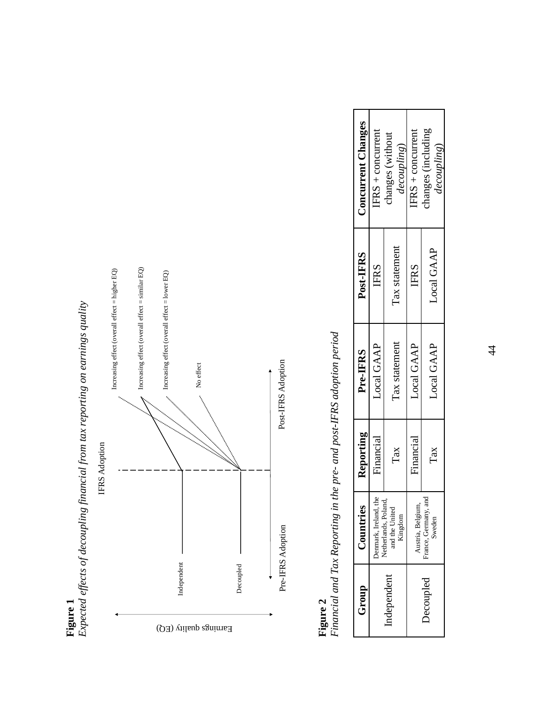

# **Figure 1**<br>Expected effects of decoupling financial from tax reporting on earnings quality *Expected effects of decoupling financial from tax reporting on earnings quality*

**Figure 2**<br>*Financial and Tax Reporting in the pre- and post-IFRS adoption period Financial and Tax Reporting in the pre- and post-IFRS adoption period*

| Group      | Countries                                     | Reporting   | Pre-IFRS      | Post-IFRS     | <b>Concurrent Changes</b>                |
|------------|-----------------------------------------------|-------------|---------------|---------------|------------------------------------------|
|            | Denmark, Ireland, the<br>Netherlands, Poland, | Financial   | Local GAAP    | <b>IFRS</b>   | $FRS + concurrent$                       |
| Independen | and the Unite<br>Kingdom                      | Tax         | Tax statement | Tax statement | hanges (without<br>decoupling)           |
|            | Austria, Belgium,                             | Financial   | Local GAAP    | <b>IFRS</b>   | $FRS + concurrent$                       |
| Decoupled  | and<br>France, Germany,<br>Sweden             | $\Gamma$ ax | Local GAAP    | Local GAAP    | hanges (including<br><i>decoupling</i> ) |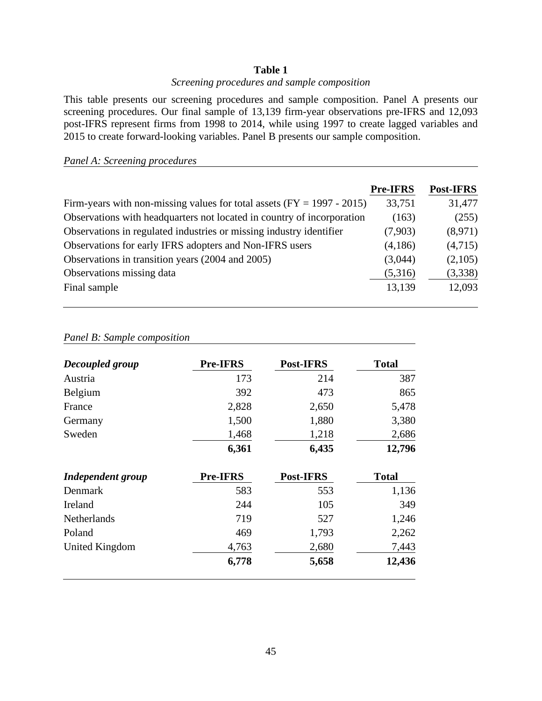### **Table 1**

# *Screening procedures and sample composition*

This table presents our screening procedures and sample composition. Panel A presents our screening procedures. Our final sample of 13,139 firm-year observations pre-IFRS and 12,093 post-IFRS represent firms from 1998 to 2014, while using 1997 to create lagged variables and 2015 to create forward-looking variables. Panel B presents our sample composition.

# *Panel A: Screening procedures*

|                                                                          | <b>Pre-IFRS</b> | <b>Post-IFRS</b> |
|--------------------------------------------------------------------------|-----------------|------------------|
| Firm-years with non-missing values for total assets $(FY = 1997 - 2015)$ | 33,751          | 31,477           |
| Observations with headquarters not located in country of incorporation   | (163)           | (255)            |
| Observations in regulated industries or missing industry identifier      | (7,903)         | (8,971)          |
| Observations for early IFRS adopters and Non-IFRS users                  | (4,186)         | (4,715)          |
| Observations in transition years (2004 and 2005)                         | (3,044)         | (2,105)          |
| Observations missing data                                                | (5,316)         | (3,338)          |
| Final sample                                                             | 13,139          | 12,093           |

# *Panel B: Sample composition*

| Decoupled group          | <b>Pre-IFRS</b> | <b>Post-IFRS</b> | <b>Total</b> |
|--------------------------|-----------------|------------------|--------------|
| Austria                  | 173             | 214              | 387          |
| Belgium                  | 392             | 473              | 865          |
| France                   | 2,828           | 2,650            | 5,478        |
| Germany                  | 1,500           | 1,880            | 3,380        |
| Sweden                   | 1,468           | 1,218            | 2,686        |
|                          | 6,361           | 6,435            | 12,796       |
| <b>Independent group</b> | Pre-IFRS        | <b>Post-IFRS</b> | <b>Total</b> |
| Denmark                  | 583             | 553              | 1,136        |
| Ireland                  | 244             | 105              | 349          |
| <b>Netherlands</b>       | 719             | 527              | 1,246        |
| Poland                   | 469             | 1,793            | 2,262        |
| United Kingdom           | 4,763           | 2,680            | 7,443        |
|                          | 6,778           | 5,658            | 12,436       |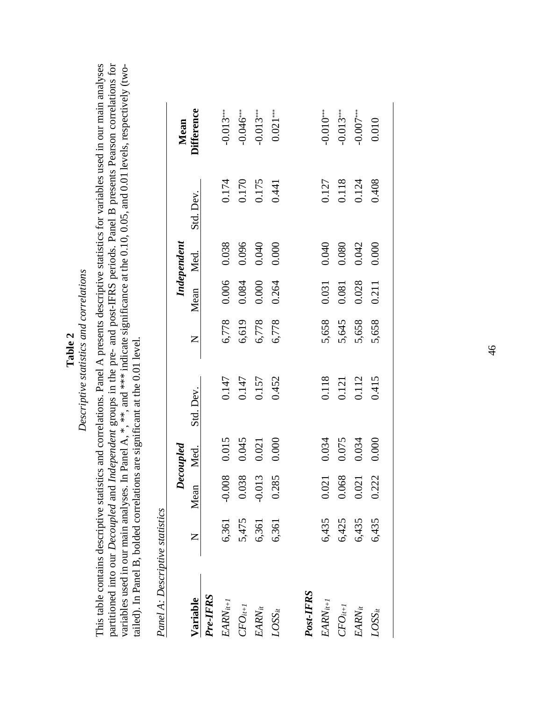**Table 2**<br>Descriptive statistics and correlations *Descriptive statistics and correlations*

This table contains descriptive statistics and correlations. Panel A presents descriptive statistics for variables used in our main analyses partitioned into our *Decoupled* and *Independent* groups in the pre- and post-IFRS periods. Panel B presents Pearson correlations for This table contains descriptive statistics and correlations. Panel A presents descriptive statistics for variables used in our main analyses partitioned into our Decoupled and Independent groups in the pre- and post-IFRS periods. Panel B presents Pearson correlations for variables used in our main analyses. In Panel A, \*, \*\*, and \*\*\* indicate significance at the 0.10, 0.05, and 0.01 levels, respectively (twovariables used in our main analyses. In Panel A, \*, \*\*, and \*\*\* indicate significance at the 0.10, 0.05, and 0.01 levels, respectively (twotailed). In Panel B, bolded correlations are significant at the 0.01 level. tailed). In Panel B, bolded correlations are significant at the 0.01 level.

| こく・・こ<br>$\sigma$ + $\sigma$ + $\sigma$ |
|-----------------------------------------|
|                                         |
| トランシュ                                   |
|                                         |
| .<br>?<br>?                             |

|               |       |           | Decoupled |                |       |           | Independent |                                  |                    |
|---------------|-------|-----------|-----------|----------------|-------|-----------|-------------|----------------------------------|--------------------|
| Variable      | Z     | Mean Med. |           | Std. Dev.      | $Z_1$ | Mean Med. |             | Std. Dev.                        | Mean<br>Difference |
| Pre-IFRS      |       |           |           |                |       |           |             |                                  |                    |
| $EARN_{it+1}$ | 6,361 | 1.008     | 0.015     | 0.147          | 6,778 | 0.006     | 0.038       |                                  | $-0.013***$        |
| $CFO_{it+1}$  | 5,475 | 1.038     | 0.045     | 0.147          | 6,619 | 0.084     | 0.096       |                                  | $-0.046***$        |
| $EARN_{it}$   | 6,361 | 1.013     | 0.021     | 0.157          | 6,778 | 0.000     | 0.040       | 0.174<br>0.170<br>0.175<br>0.441 | $-0.013***$        |
| $LOSS_{it}$   | 6,361 | 285       | 0.000     | 0.452          | 6,778 | 0.264     | 0.000       |                                  | $0.021***$         |
| Post-IFRS     |       |           |           |                |       |           |             |                                  |                    |
| $EARN_{it+1}$ | 6,435 | 1.021     | 0.034     | 0.118          | 5,658 | 0.031     | 0.040       |                                  | $-0.010***$        |
| $CFO_{it+1}$  | 6,425 | 0.068     | 0.075     | 0.121<br>0.112 | 5,645 | 0.081     | 0.080       | 0.127<br>0.118<br>0.124          | $-0.013***$        |
| $EARN_{it}$   | 6,435 | 1.021     | 0.034     |                | 5,658 | 0.028     | 0.042       |                                  | $-0.007***$        |
| $LOSS_{it}$   | 6,435 | 222       | 0.000     | 0.415          | 5,658 | 0.211     | 0.000       | 0.408                            | 0.010              |
|               |       |           |           |                |       |           |             |                                  |                    |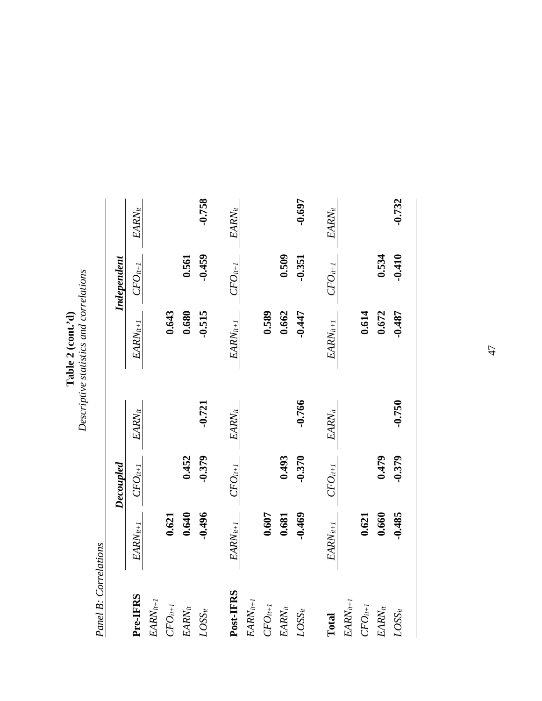|                   | statistics and correlations |
|-------------------|-----------------------------|
| ĺ<br>Ĩ<br>'able 2 |                             |
|                   | $\frac{1}{2}$               |

**Panel B: Correlations** *Panel B: Correlations*

|               |               | Decoupled    |             |               | Independent  |             |
|---------------|---------------|--------------|-------------|---------------|--------------|-------------|
| Pre-IFRS      | $EARN_{it+1}$ | $CFO_{it+I}$ | $EARN_{it}$ | $EARN_{it+1}$ | $CFO_{it+I}$ | $EARN_{it}$ |
| $EARN_{it+1}$ |               |              |             |               |              |             |
| $CFO_{it+1}$  | 0.621         |              |             | 0.643         |              |             |
| $EARN_{it}$   | 0.640         | 0.452        |             | 0.680         | 0.561        |             |
| $LOSS_{it}$   | $-0.496$      | $-0.379$     | $-0.721$    | $-0.515$      | $-0.459$     | $-0.758$    |
| Post-IFRS     | $EARN_{it+1}$ | $CFO_{it+I}$ | $EARN_{it}$ | $EARN_{it+1}$ | $CFO_{it+I}$ | $EARN_{it}$ |
| $EARN_{it+1}$ |               |              |             |               |              |             |
| $CFO_{it+1}$  | 0.607         |              |             | 0.589         |              |             |
| $EARN_{it}$   | 0.681         | 0.493        |             | 0.662         | 0.509        |             |
| $LOSS_{it}$   | $-0.469$      | $-0.370$     | -0.766      | $-0.447$      | $-0.351$     | $-0.697$    |
| Total         | $EARN_{it+1}$ | $CFO_{it+I}$ | $EARN_{it}$ | $EARN_{it+1}$ | $CFO_{it+I}$ | $EARN_{it}$ |
| $EARN_{it+1}$ |               |              |             |               |              |             |
| $CFO_{it+1}$  | 0.621         |              |             | 0.614         |              |             |
| $EARN_{it}$   | 0.660         | 0.479        |             | 0.672         | 0.534        |             |
| $LOSS_{it}$   | $-0.485$      | $-0.379$     | $-0.750$    | $-0.487$      | $-0.410$     | $-0.732$    |
|               |               |              |             |               |              |             |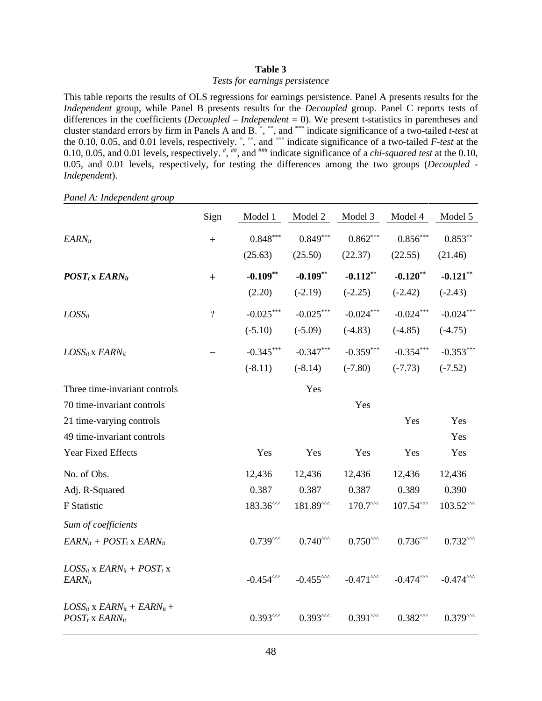#### **Table 3**

#### *Tests for earnings persistence*

This table reports the results of OLS regressions for earnings persistence. Panel A presents results for the *Independent* group, while Panel B presents results for the *Decoupled* group. Panel C reports tests of differences in the coefficients (*Decoupled* – *Independent* = 0). We present t-statistics in parentheses and cluster standard errors by firm in Panels A and B. \* , \*\*, and \*\*\* indicate significance of a two-tailed *t-test* at the  $0.10, 0.05$ , and  $0.01$  levels, respectively.  $\hat{ }$ ,  $\hat{ }$ , and  $\hat{ }$  indicate significance of a two-tailed *F-test* at the 0.10, 0.05, and 0.01 levels, respectively.  $\frac{m}{n}$ , and  $\frac{m}{n}$  indicate significance of a *chi-squared test* at the 0.10, 0.05, and 0.01 levels, respectively, for testing the differences among the two groups (*Decoupled - Independent*).

Sign Model 1 Model 2 Model 3 Model 4 Model 5  $EARN_{it}$  + 0.848\*\*\* 0.849\*\*\* 0.862\*\*\* 0.853\*\* 0.853\*\* (25.63) (25.50) (22.37) (22.55) (21.46) *POSTt* **x** *EARNit* + **-0.109\*\* -0.109\*\* -0.112\*\* -0.120\*\* -0.121\*\***  $(2.20)$   $(-2.19)$   $(-2.25)$   $(-2.42)$   $(-2.43)$ *LOSSit* ? -0.025\*\*\* -0.025\*\*\* -0.024\*\*\* -0.024\*\*\* -0.024\*\*\*  $(-5.10)$   $(-5.09)$   $(-4.83)$   $(-4.85)$   $(-4.75)$ *LOSS<sub>it</sub> EARN<sub>it</sub>* −  $-0.345$ \*\*\*  $-0.347$ \*\*\*  $-0.359$ \*\*\*  $-0.354$ \*\*\*  $-0.353$ \*\*\*  $(-8.11)$   $(-8.14)$   $(-7.80)$   $(-7.73)$   $(-7.52)$ Three time-invariant controls Yes 70 time-invariant controls Yes 21 time-varying controls Yes Yes Yes 49 time-invariant controls Yes Year Fixed Effects Tes Yes Yes Yes Yes Yes Yes Yes No. of Obs. 12,436 12,436 12,436 12,436 12,436 12,436 Adj. R-Squared 0.387 0.387 0.387 0.389 0.390 F Statistic  $183.36^{\text{AA}}$   $181.89^{\text{AA}}$   $170.7^{\text{AA}}$   $107.54^{\text{AA}}$   $103.52^{\text{AA}}$ *Sum of coefficients*  $EARN_{it} + POST_{t} \times EARN_{it}$  0.739^^^ 0.740^^^ 0.750^^^ 0.736^^^ 0.732^^^  $LOSS_{it}$  x  $EARN_{it}$  +  $POST_t$  x  $EARN_{it}$  -0.454^^^ -0.455^^^ -0.471^^^ -0.474^^^ -0.474^^^  $LOSS_{it}$  **x**  $EARN_{it}$  +  $EARN_{it}$  +  $POST_t$  x  $EARN_{it}$   $0.393^{0.00}$   $0.393^{0.00}$   $0.393^{0.00}$   $0.391^{0.00}$   $0.382^{0.00}$   $0.379^{0.00}$ 

*Panel A: Independent group*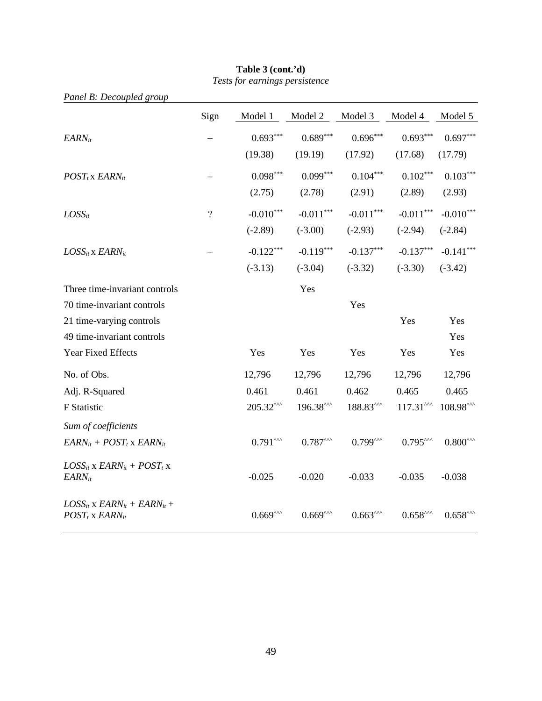| Panel B: Decoupled group                                            |                    |                     |                                                |                              |                              |                      |
|---------------------------------------------------------------------|--------------------|---------------------|------------------------------------------------|------------------------------|------------------------------|----------------------|
|                                                                     | Sign               | Model 1             | Model 2                                        | Model 3                      | Model 4                      | Model 5              |
| <b>EARN</b> it                                                      | $\qquad \qquad +$  | $0.693***$          | $0.689***$                                     | $0.696***$                   | $0.693***$                   | $0.697***$           |
|                                                                     |                    | (19.38)             | (19.19)                                        | (17.92)                      | (17.68)                      | (17.79)              |
| $POST_t$ x $EARN_{it}$                                              | $+$                | $0.098***$          | $0.099***$                                     | $0.104***$                   | $0.102***$                   | $0.103***$           |
|                                                                     |                    | (2.75)              | (2.78)                                         | (2.91)                       | (2.89)                       | (2.93)               |
| $LOSS_{it}$                                                         | $\overline{\cdot}$ | $-0.010***$         | $-0.011***$                                    | $-0.011***$                  | $-0.011***$                  | $-0.010***$          |
|                                                                     |                    | $(-2.89)$           | $(-3.00)$                                      | $(-2.93)$                    | $(-2.94)$                    | $(-2.84)$            |
| $LOSS_{it}$ x $EARN_{it}$                                           |                    | $-0.122***$         | $-0.119***$                                    | $-0.137***$                  | $-0.137***$                  | $-0.141***$          |
|                                                                     |                    | $(-3.13)$           | $(-3.04)$                                      | $(-3.32)$                    | $(-3.30)$                    | $(-3.42)$            |
| Three time-invariant controls                                       |                    |                     | Yes                                            |                              |                              |                      |
| 70 time-invariant controls                                          |                    |                     |                                                | Yes                          |                              |                      |
| 21 time-varying controls                                            |                    |                     |                                                |                              | Yes                          | Yes                  |
| 49 time-invariant controls                                          |                    |                     |                                                |                              |                              | Yes                  |
| Year Fixed Effects                                                  |                    | Yes                 | Yes                                            | Yes                          | Yes                          | Yes                  |
| No. of Obs.                                                         |                    | 12,796              | 12,796                                         | 12,796                       | 12,796                       | 12,796               |
| Adj. R-Squared                                                      |                    | 0.461               | 0.461                                          | 0.462                        | 0.465                        | 0.465                |
| F Statistic                                                         |                    | 205.32^^^           | $196.38^{\text{AA}}$                           | $188.83^{\text{AA}}$         | $117.31^{\text{AA}}$         | 108.98^^^            |
| Sum of coefficients                                                 |                    |                     |                                                |                              |                              |                      |
| $EARN_{it} + POST_t$ x $EARN_{it}$                                  |                    | $0.791^{\text{AA}}$ | $0.787^{\scriptscriptstyle\wedge\wedge\wedge}$ | $0.799^{\text{AA}}$          | $0.795^{\text{max}}$         | $0.800^{\text{AA}}$  |
| $LOSS_{it}$ x $EARN_{it}$ + $POST_t$ x<br><b>EARN</b> it            |                    | $-0.025$            | $-0.020$                                       | $-0.033$                     | $-0.035$                     | $-0.038$             |
| $LOSS_{it}$ x $EARN_{it}$ + $EARN_{it}$ +<br>$POST_t$ x $EARN_{it}$ |                    | $0.669^{\text{AA}}$ | $0.669^{\text{AA}}$                            | $0.663^{\mbox{\tiny\rm AM}}$ | $0.658^{\mbox{\tiny\rm AM}}$ | $0.658^{\text{max}}$ |

# **Table 3 (cont.'d)** *Tests for earnings persistence*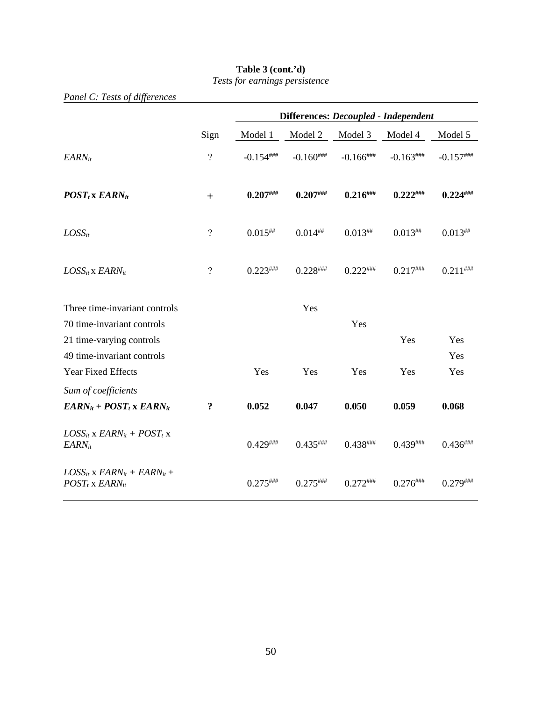|                                                                     |                    | Differences: Decoupled - Independent |               |                |               |               |
|---------------------------------------------------------------------|--------------------|--------------------------------------|---------------|----------------|---------------|---------------|
|                                                                     | Sign               | Model 1                              | Model 2       | Model 3        | Model 4       | Model 5       |
| $EARN_{it}$                                                         | $\overline{?}$     | $-0.154$ ###                         | $-0.160$ ###  | $-0.166$ ###   | $-0.163$ ###  | $-0.157$ ###  |
| $POST_t$ x $EARN_{it}$                                              | $+$                | $0.207^{$                            | $0.207$ ###   | $0.216^{$      | $0.222^{$     | $0.224^{$     |
| $LOSS_{it}$                                                         | $\overline{\cdot}$ | $0.015^{***}$                        | $0.014^{#}$   | $0.013^{#}$    | $0.013^{***}$ | $0.013^{***}$ |
| $LOSS_{it}$ x $EARN_{it}$                                           | $\overline{\cdot}$ | $0.223***$                           | $0.228$ ###   | $0.222***$     | $0.217$ ###   | $0.211$ ***** |
| Three time-invariant controls<br>70 time-invariant controls         |                    |                                      | Yes           | Yes            |               |               |
| 21 time-varying controls<br>49 time-invariant controls              |                    |                                      |               |                | Yes           | Yes<br>Yes    |
| <b>Year Fixed Effects</b>                                           |                    | Yes                                  | Yes           | Yes            | Yes           | Yes           |
| Sum of coefficients<br>$EARN_{it} + POST_t \times EARN_{it}$        | ?                  | 0.052                                | 0.047         | 0.050          | 0.059         | 0.068         |
| $LOSS_{it}$ x $EARN_{it}$ + $POST_t$ x<br>$EARN_{it}$               |                    | $0.429$ ###                          | $0.435***$    | $0.438***$     | $0.439$ ###   | $0.436***$    |
| $LOSS_{it}$ x $EARN_{it}$ + $EARN_{it}$ +<br>$POST_t$ x $EARN_{it}$ |                    | $0.275$ ###                          | $0.275$ ***** | $0.272^{$ **** | $0.276^{$     | $0.279$ ***** |

# **Table 3 (cont.'d)**

*Tests for earnings persistence*

*Panel C: Tests of differences*

50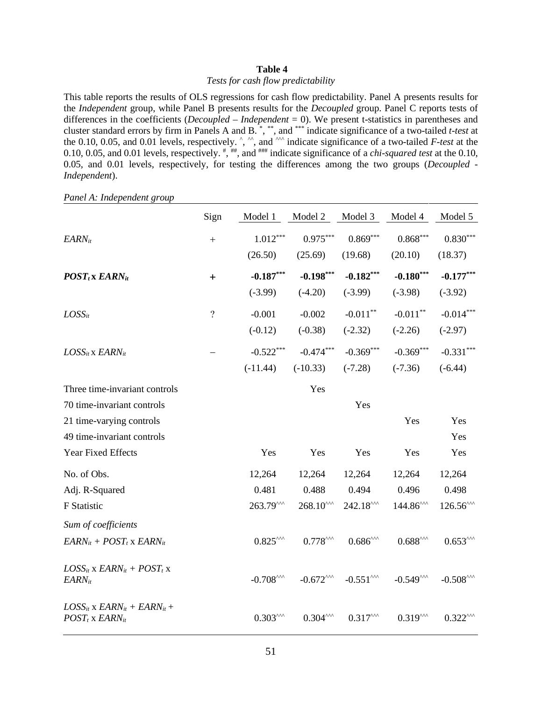#### **Table 4**

#### *Tests for cash flow predictability*

This table reports the results of OLS regressions for cash flow predictability. Panel A presents results for the *Independent* group, while Panel B presents results for the *Decoupled* group. Panel C reports tests of differences in the coefficients (*Decoupled* – *Independent* = 0). We present t-statistics in parentheses and cluster standard errors by firm in Panels A and B. \* , \*\*, and \*\*\* indicate significance of a two-tailed *t-test* at the  $0.10, 0.05$ , and  $0.01$  levels, respectively.  $\hat{ }$ ,  $\hat{ }$ , and  $\hat{ }$  indicate significance of a two-tailed *F-test* at the 0.10, 0.05, and 0.01 levels, respectively.  $\frac{m}{n}$ , and  $\frac{m}{n}$  indicate significance of a *chi-squared test* at the 0.10, 0.05, and 0.01 levels, respectively, for testing the differences among the two groups (*Decoupled - Independent*).

Sign Model 1 Model 2 Model 3 Model 4 Model 5  $EARN_{it}$  + 1.012\*\*\* 0.975\*\*\* 0.869\*\*\* 0.868\*\*\* 0.830\*\*\* (26.50) (25.69) (19.68) (20.10) (18.37) *POSTt* **x** *EARNit* + **-0.187\*\*\* -0.198\*\*\* -0.182\*\*\* -0.180\*\*\* -0.177\*\*\*** (-3.99) (-4.20) (-3.99) (-3.98) (-3.92)  $\textit{LOSS}_{it}$  ...  $2 \qquad \qquad 2 \qquad \qquad -0.001$   $-0.002$   $-0.011^{**}$   $-0.011^{**}$   $-0.014^{***}$  $(-0.12)$   $(-0.38)$   $(-2.32)$   $(-2.26)$   $(-2.97)$ *LOSS<sub>it</sub> EARN<sub>it</sub>* −  $-$  -0.522<sup>\*\*\*</sup> -0.474<sup>\*\*\*</sup> -0.369<sup>\*\*\*</sup> -0.369<sup>\*\*\*</sup> -0.331<sup>\*\*\*</sup>  $(-11.44)$   $(-10.33)$   $(-7.28)$   $(-7.36)$   $(-6.44)$ Three time-invariant controls Yes 70 time-invariant controls Yes 21 time-varying controls Yes Yes Yes 49 time-invariant controls Yes Year Fixed Effects Yes Yes Yes Yes Yes No. of Obs. 12,264 12,264 12,264 12,264 12,264 12,264 Adj. R-Squared 0.481 0.488 0.494 0.496 0.498 F Statistic  $263.79^{\text{AA}}$   $268.10^{\text{AA}}$   $242.18^{\text{AA}}$   $144.86^{\text{AA}}$   $126.56^{\text{AA}}$ *Sum of coefficients*  $EARN_{it} + POST_{t} \times EARN_{it}$  0.825^^^ 0.778^^^ 0.686^^^ 0.688^^^ 0.688^^^ 0.653^^^  $LOSS_{it}$  x  $EARN_{it}$  +  $POST_t$  x  $EARN_{it}$  -0.708^^^  $-0.708^{0.00}$  -0.672^^^  $-0.551^{0.00}$  -0.549^^^  $-0.508^{0.00}$  $LOSS_{it}$  **x**  $EARN_{it}$  +  $EARN_{it}$  +  $POST_t$  x  $EARN_{it}$   $0.303^{0.00}$   $0.304^{0.00}$   $0.317^{0.00}$   $0.319^{0.00}$   $0.322^{0.00}$ 

*Panel A: Independent group*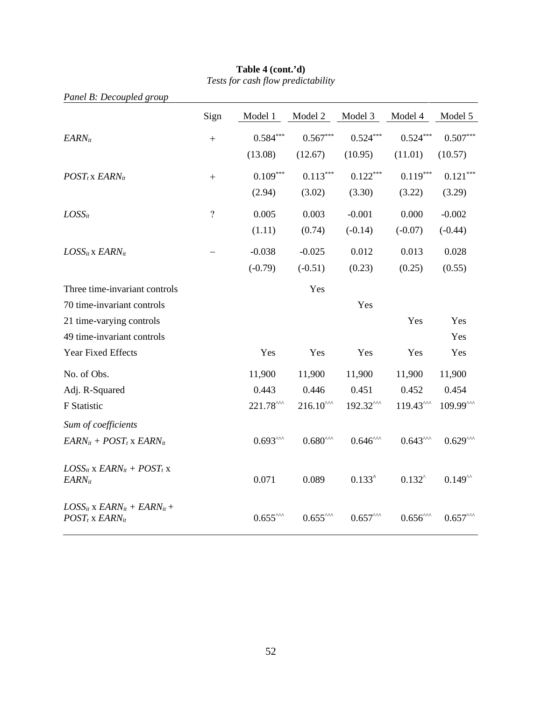| Panel B: Decoupled group                                            |                |                      |                               |                     |                               |                     |
|---------------------------------------------------------------------|----------------|----------------------|-------------------------------|---------------------|-------------------------------|---------------------|
|                                                                     | Sign           | Model 1              | Model 2                       | Model 3             | Model 4                       | Model 5             |
| $EARN_{it}$                                                         | $+$            | $0.584***$           | $0.567***$                    | $0.524***$          | $0.524***$                    | $0.507***$          |
|                                                                     |                | (13.08)              | (12.67)                       | (10.95)             | (11.01)                       | (10.57)             |
| $POST_t$ x $EARN_{it}$                                              | $^{+}$         | $0.109***$           | $0.113***$                    | $0.122***$          | $0.119***$                    | $0.121***$          |
|                                                                     |                | (2.94)               | (3.02)                        | (3.30)              | (3.22)                        | (3.29)              |
| $LOSS_{it}$                                                         | $\overline{?}$ | 0.005                | 0.003                         | $-0.001$            | 0.000                         | $-0.002$            |
|                                                                     |                | (1.11)               | (0.74)                        | $(-0.14)$           | $(-0.07)$                     | $(-0.44)$           |
| $LOSS_{it}$ x $EARN_{it}$                                           |                | $-0.038$             | $-0.025$                      | 0.012               | 0.013                         | 0.028               |
|                                                                     |                | $(-0.79)$            | $(-0.51)$                     | (0.23)              | (0.25)                        | (0.55)              |
| Three time-invariant controls                                       |                |                      | Yes                           |                     |                               |                     |
| 70 time-invariant controls                                          |                |                      |                               | Yes                 |                               |                     |
| 21 time-varying controls                                            |                |                      |                               |                     | Yes                           | Yes                 |
| 49 time-invariant controls                                          |                |                      |                               |                     |                               | Yes                 |
| Year Fixed Effects                                                  |                | Yes                  | Yes                           | Yes                 | Yes                           | Yes                 |
| No. of Obs.                                                         |                | 11,900               | 11,900                        | 11,900              | 11,900                        | 11,900              |
| Adj. R-Squared                                                      |                | 0.443                | 0.446                         | 0.451               | 0.452                         | 0.454               |
| F Statistic                                                         |                | $221.78^{\text{AA}}$ | $216.10^{\text{AA}}$          | 192.32^^^           | $119.43^{\text{AA}}$          | 109.99^^^           |
| Sum of coefficients                                                 |                |                      |                               |                     |                               |                     |
| $EARN_{it} + POST_t$ x $EARN_{it}$                                  |                | $0.693^{\text{AA}}$  | $0.680^{\text{AA}}$           | $0.646^{\text{AA}}$ | $0.643^{\text{AA}}$           | $0.629^{\text{AA}}$ |
| $LOSS_{it}$ x $EARN_{it}$ + $POST_t$ x<br>$EARN_{it}$               |                | 0.071                | 0.089                         | $0.133^{\circ}$     | $0.132^{\circ}$               | $0.149^{44}$        |
| $LOSS_{it}$ x $EARN_{it}$ + $EARN_{it}$ +<br>$POST_t$ x $EARN_{it}$ |                | $0.655^{\text{nm}}$  | $0.655^{\mbox{\tiny\rm AMA}}$ | $0.657^{\text{AA}}$ | $0.656^{\mbox{\tiny\rm ANA}}$ | $0.657^{\text{AA}}$ |

#### **Table 4 (cont.'d)** *Tests for cash flow predictability*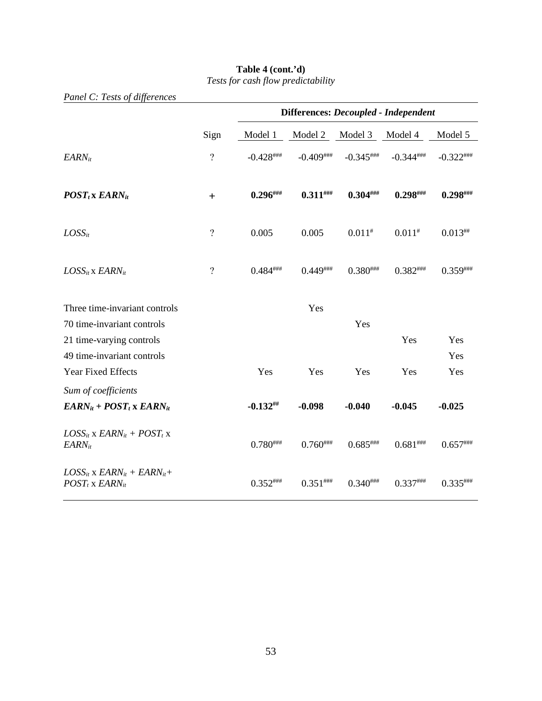| Panel C: Tests of differences                                       |                          |                                      |               |                 |                 |               |
|---------------------------------------------------------------------|--------------------------|--------------------------------------|---------------|-----------------|-----------------|---------------|
|                                                                     |                          | Differences: Decoupled - Independent |               |                 |                 |               |
|                                                                     | Sign                     | Model 1                              | Model 2       | Model 3         | Model 4         | Model 5       |
| $EARN_{it}$                                                         | $\overline{?}$           | $-0.428$ ###                         | $-0.409$ ###  | $-0.345$ ###    | $-0.344$ ###    | $-0.322$ ###  |
| $POST_t$ x $EARN_{it}$                                              | $\ddot{}$                | $0.296^{$                            | $0.311$ ###   | $0.304^{$       | $0.298$ ###     | $0.298$ ###   |
| $LOSS_{it}$                                                         | $\overline{\mathcal{L}}$ | 0.005                                | 0.005         | $0.011^{#}$     | $0.011^{#}$     | $0.013^{***}$ |
| $LOSS_{it}$ x $EARN_{it}$                                           | $\overline{?}$           | $0.484^{$ ###                        | $0.449$ ****  | $0.380^{$ ###   | $0.382^{$ ***** | $0.359^{$     |
| Three time-invariant controls                                       |                          |                                      | Yes           |                 |                 |               |
| 70 time-invariant controls                                          |                          |                                      |               | Yes             |                 |               |
| 21 time-varying controls                                            |                          |                                      |               |                 | Yes             | Yes           |
| 49 time-invariant controls                                          |                          |                                      |               |                 |                 | Yes           |
| Year Fixed Effects                                                  |                          | Yes                                  | Yes           | Yes             | Yes             | Yes           |
| Sum of coefficients                                                 |                          |                                      |               |                 |                 |               |
| $EARN_{it} + POST_t$ x $EARN_{it}$                                  |                          | $-0.132$ ##                          | $-0.098$      | $-0.040$        | $-0.045$        | $-0.025$      |
| $LOSS_{it}$ x $EARN_{it}$ + $POST_t$ x<br>$EARN_{it}$               |                          | $0.780^{$                            | $0.760^{$ ### | $0.685$ ###     | $0.681^{$ ###   | $0.657***$    |
| $LOSS_{it}$ x $EARN_{it}$ + $EARN_{it}$ +<br>$POST_t$ x $EARN_{it}$ |                          | $0.352^{$                            | $0.351$ ###   | $0.340^{$ ***** | $0.337***$      | $0.335$ ###   |

#### **Table 4 (cont.'d)** *Tests for cash flow predictability*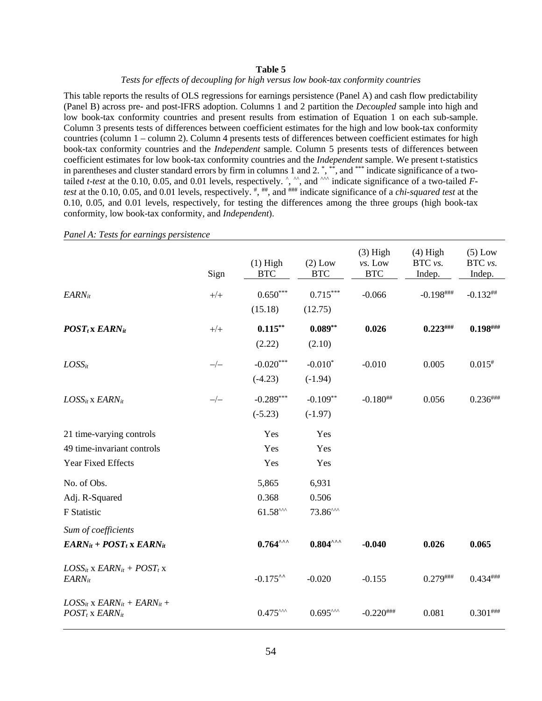#### **Table 5**

#### *Tests for effects of decoupling for high versus low book-tax conformity countries*

This table reports the results of OLS regressions for earnings persistence (Panel A) and cash flow predictability (Panel B) across pre- and post-IFRS adoption. Columns 1 and 2 partition the *Decoupled* sample into high and low book-tax conformity countries and present results from estimation of Equation 1 on each sub-sample. Column 3 presents tests of differences between coefficient estimates for the high and low book-tax conformity countries (column 1 – column 2). Column 4 presents tests of differences between coefficient estimates for high book-tax conformity countries and the *Independent* sample. Column 5 presents tests of differences between coefficient estimates for low book-tax conformity countries and the *Independent* sample. We present t-statistics in parentheses and cluster standard errors by firm in columns 1 and 2.<sup>\*</sup>,\*\*, and \*\*\* indicate significance of a twotailed *t-test* at the 0.10, 0.05, and 0.01 levels, respectively.  $\hat{ }$ ,  $\hat{ }$ , and  $\hat{ }$  indicate significance of a two-tailed *Ftest* at the 0.10, 0.05, and 0.01 levels, respectively. #, ##, and ### indicate significance of a *chi-squared test* at the 0.10, 0.05, and 0.01 levels, respectively, for testing the differences among the three groups (high book-tax conformity, low book-tax conformity, and *Independent*).

|                                                                     | Sign  | $(1)$ High<br><b>BTC</b>     | $(2)$ Low<br><b>BTC</b> | $(3)$ High<br>vs. Low<br><b>BTC</b> | $(4)$ High<br>BTC vs.<br>Indep. | $(5)$ Low<br>BTC vs.<br>Indep. |
|---------------------------------------------------------------------|-------|------------------------------|-------------------------|-------------------------------------|---------------------------------|--------------------------------|
| $EARN_{it}$                                                         | $+/+$ | $0.650***$<br>(15.18)        | $0.715***$<br>(12.75)   | $-0.066$                            | $-0.198$ ###                    | $-0.132$ ##                    |
| $POST_t$ x EARN <sub>it</sub>                                       | $+/+$ | $0.115***$<br>(2.22)         | $0.089**$<br>(2.10)     | 0.026                               | $0.223$ ###                     | $0.198^{ \# \# \#}$            |
| $LOSS_{it}$                                                         | $-/-$ | $-0.020***$<br>$(-4.23)$     | $-0.010*$<br>$(-1.94)$  | $-0.010$                            | 0.005                           | $0.015*$                       |
| $LOSS_{it}$ x $EARN_{it}$                                           | $-/-$ | $-0.289***$<br>$(-5.23)$     | $-0.109**$<br>$(-1.97)$ | $-0.180^{+4}$                       | 0.056                           | $0.236^{ \# \# \#}$            |
| 21 time-varying controls                                            |       | Yes                          | Yes                     |                                     |                                 |                                |
| 49 time-invariant controls                                          |       | Yes                          | Yes                     |                                     |                                 |                                |
| Year Fixed Effects                                                  |       | Yes                          | Yes                     |                                     |                                 |                                |
| No. of Obs.                                                         |       | 5,865                        | 6,931                   |                                     |                                 |                                |
| Adj. R-Squared                                                      |       | 0.368                        | 0.506                   |                                     |                                 |                                |
| F Statistic                                                         |       | $61.58^{\text{AA}}$          | $73.86^{\text{AA}}$     |                                     |                                 |                                |
| Sum of coefficients                                                 |       |                              |                         |                                     |                                 |                                |
| $EARN_{it} + POST_t$ x $EARN_{it}$                                  |       | $0.764^{\wedge\wedge\wedge}$ | $0.804^{\text{AA}}$     | $-0.040$                            | 0.026                           | 0.065                          |
| $LOS_{it}$ x $EARN_{it}$ + $POST_t$ x<br>$EARN_{it}$                |       | $-0.175$ <sup>**</sup>       | $-0.020$                | $-0.155$                            | $0.279$ ###                     | $0.434***$                     |
| $LOSS_{it}$ x $EARN_{it}$ + $EARN_{it}$ +<br>$POST_t$ x $EARN_{it}$ |       | $0.475^{\text{AA}}$          | $0.695^{\text{AA}}$     | $-0.220$ ###                        | 0.081                           | $0.301^{ \# \# \#}$            |

*Panel A: Tests for earnings persistence*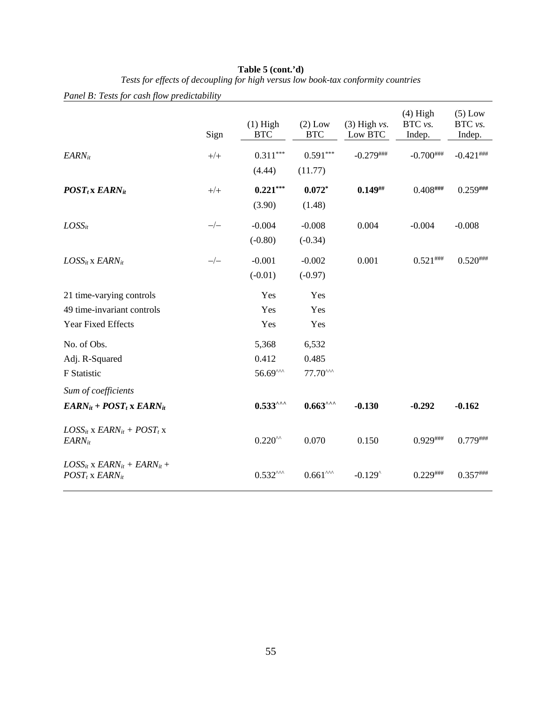|                                                                    | Sign  | $(1)$ High<br><b>BTC</b> | $(2)$ Low<br><b>BTC</b> | $(3)$ High vs.<br>Low BTC | $(4)$ High<br>BTC vs.<br>Indep. | $(5)$ Low<br>BTC vs.<br>Indep. |
|--------------------------------------------------------------------|-------|--------------------------|-------------------------|---------------------------|---------------------------------|--------------------------------|
| $EARN_{it}$                                                        | $+/+$ | $0.311***$               | $0.591***$              | $-0.279$ ###              | $-0.700$ ###                    | $-0.421$ ###                   |
|                                                                    |       | (4.44)                   | (11.77)                 |                           |                                 |                                |
| $POST_t$ x EARN <sub>it</sub>                                      | $+/+$ | $0.221***$               | $0.072*$                | $0.149^{+\!+\!+\!}$       | $0.408$ ###                     | $0.259$ ###                    |
|                                                                    |       | (3.90)                   | (1.48)                  |                           |                                 |                                |
| $LOSS_{it}$                                                        | $-/-$ | $-0.004$                 | $-0.008$                | 0.004                     | $-0.004$                        | $-0.008$                       |
|                                                                    |       | $(-0.80)$                | $(-0.34)$               |                           |                                 |                                |
| $LOSS_{it}$ x $EARN_{it}$                                          | $-/-$ | $-0.001$                 | $-0.002$                | 0.001                     | $0.521$ ###                     | $0.520^{$                      |
|                                                                    |       | $(-0.01)$                | $(-0.97)$               |                           |                                 |                                |
| 21 time-varying controls                                           |       | Yes                      | Yes                     |                           |                                 |                                |
| 49 time-invariant controls                                         |       | Yes                      | Yes                     |                           |                                 |                                |
| Year Fixed Effects                                                 |       | Yes                      | Yes                     |                           |                                 |                                |
| No. of Obs.                                                        |       | 5,368                    | 6,532                   |                           |                                 |                                |
| Adj. R-Squared                                                     |       | 0.412                    | 0.485                   |                           |                                 |                                |
| F Statistic                                                        |       | $56.69^{\text{AA}}$      | $77.70^{\text{AA}}$     |                           |                                 |                                |
| Sum of coefficients                                                |       |                          |                         |                           |                                 |                                |
| $EARN_{it} + POST_t$ x $EARN_{it}$                                 |       | $0.533^{\text{AA}}$      | $0.663^{\text{max}}$    | $-0.130$                  | $-0.292$                        | $-0.162$                       |
| $LOSS_{it}$ x $EARN_{it}$ + $POST_t$ x<br><b>EARN</b> it           |       | $0.220^{\prime\prime}$   | 0.070                   | 0.150                     | $0.929$ ###                     | $0.779$ ###                    |
| $LOS_{it}$ x $EARN_{it}$ + $EARN_{it}$ +<br>$POST_t$ x $EARN_{it}$ |       | $0.532^{\text{AA}}$      | $0.661^{\text{AA}}$     | $-0.129$                  | $0.229$ ###                     | $0.357$ ###                    |

#### **Table 5 (cont.'d)**

*Tests for effects of decoupling for high versus low book-tax conformity countries*

# *Panel B: Tests for cash flow predictability*